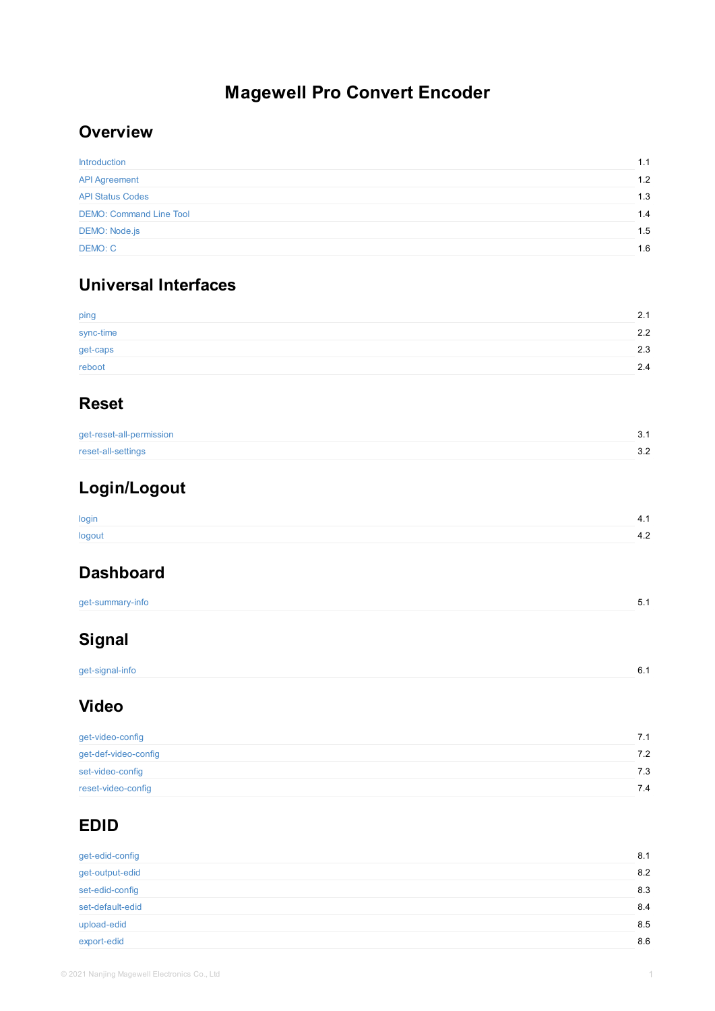get-caps reboot

## **Reset**

get-reset-all-permission

reset-all-settings

# **[Login/](#page-2-0)Logout**

[login](#page-3-0)

[logout](#page-4-0)

## **[Dashboa](#page-6-0)rd**

get-summary-info

# **Signal**

[get-signal-](#page-9-0)info

## **[Vide](#page-11-0)o**

| get-video-config     |  |  |
|----------------------|--|--|
| get-def-video-config |  |  |
| set-video-config     |  |  |
| reset-video-config   |  |  |

# **EDID**

| get-edid-config  |  |  |
|------------------|--|--|
| get-output-edid  |  |  |
| set-edid-config  |  |  |
| set-default-edid |  |  |
| upload-edid      |  |  |
| export-edid      |  |  |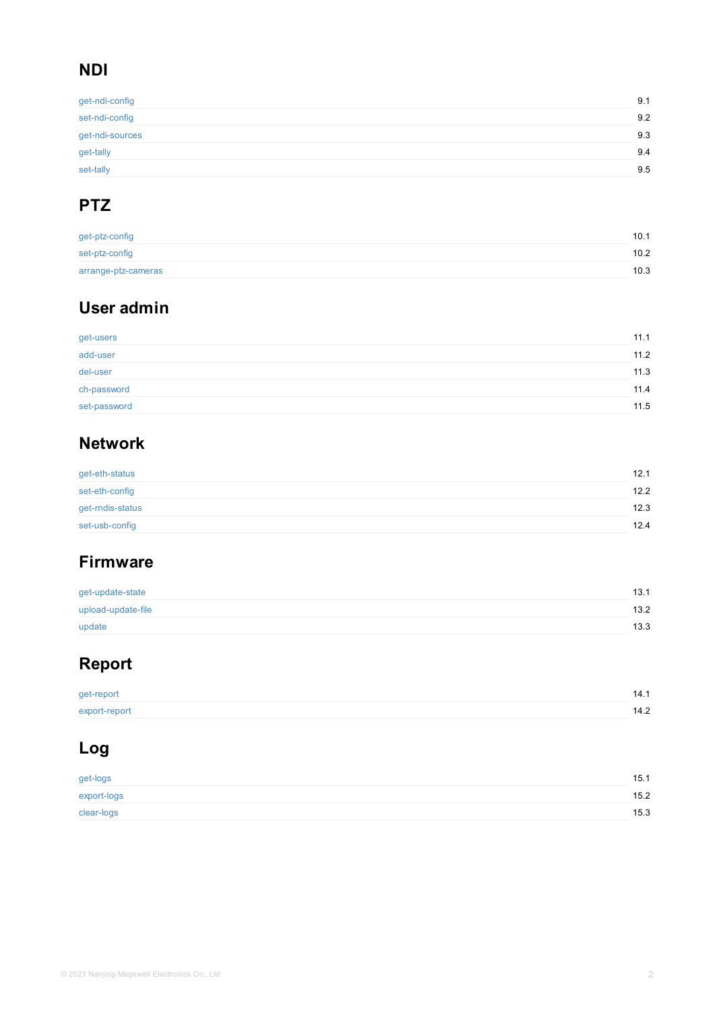| gorusors.    |  |  |  |
|--------------|--|--|--|
| add-user     |  |  |  |
| del-user     |  |  |  |
| ch-password  |  |  |  |
| set-password |  |  |  |

## **[Network](#page-37-0)**

| get-eth-status   |  |
|------------------|--|
| set-eth-config   |  |
| get-rndis-status |  |
| set-usb-config   |  |

## **[Firmwa](#page-45-0)re**

| get-update-state   |  |
|--------------------|--|
| upload-update-file |  |
| update             |  |

## **[Repor](#page-48-0)t**

[get-report](#page-49-0) [export-rep](#page-50-0)ort

# **[Log](#page-52-0)**

| get-logs    |  |
|-------------|--|
| export-logs |  |
| clear-logs  |  |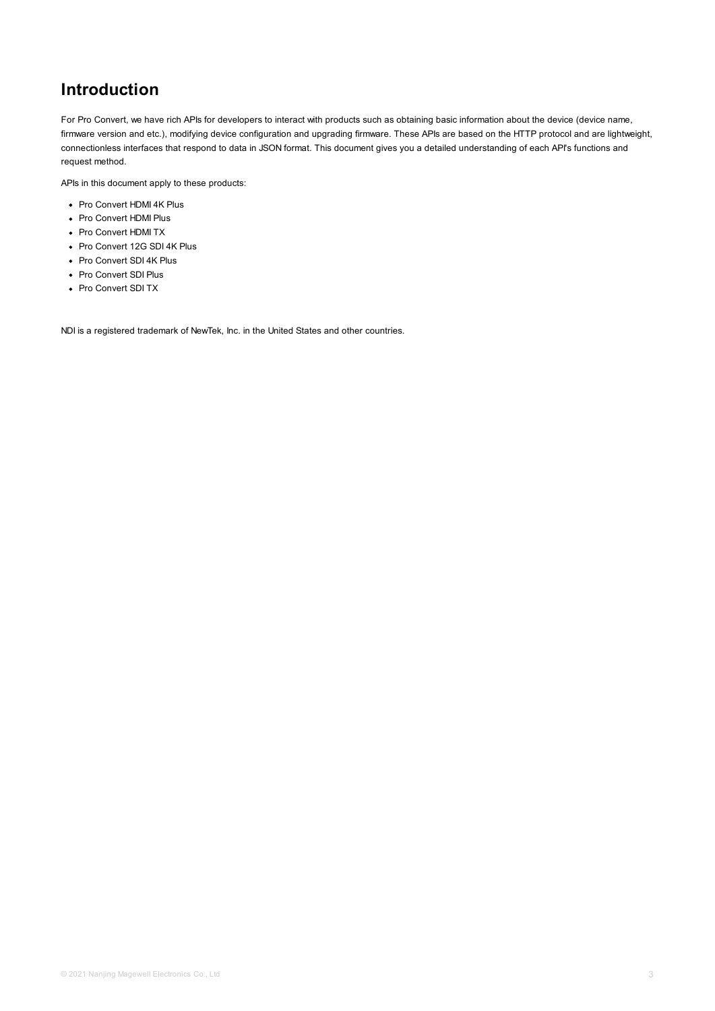## <span id="page-2-0"></span>**Introduction**

For Pro Convert, we have rich APIs for developers to interact with products such as obtaining basic information about the device (device name, firmware version and etc.), modifying device configuration and upgrading firmware. These APIs are based on the HTTP protocol and are lightweight, connectionless interfaces that respond to data in JSON format. This document gives you a detailed understanding of each API's functions and request method.

APIs in this document apply to these products:

- Pro Convert HDMI 4K Plus
- Pro Convert HDMI Plus
- Pro Convert HDMI TX
- Pro Convert 12G SDI 4K Plus
- Pro Convert SDI 4K Plus
- Pro Convert SDI Plus
- Pro Convert SDI TX

NDI is a registered trademark of NewTek, Inc. in the United States and other countries.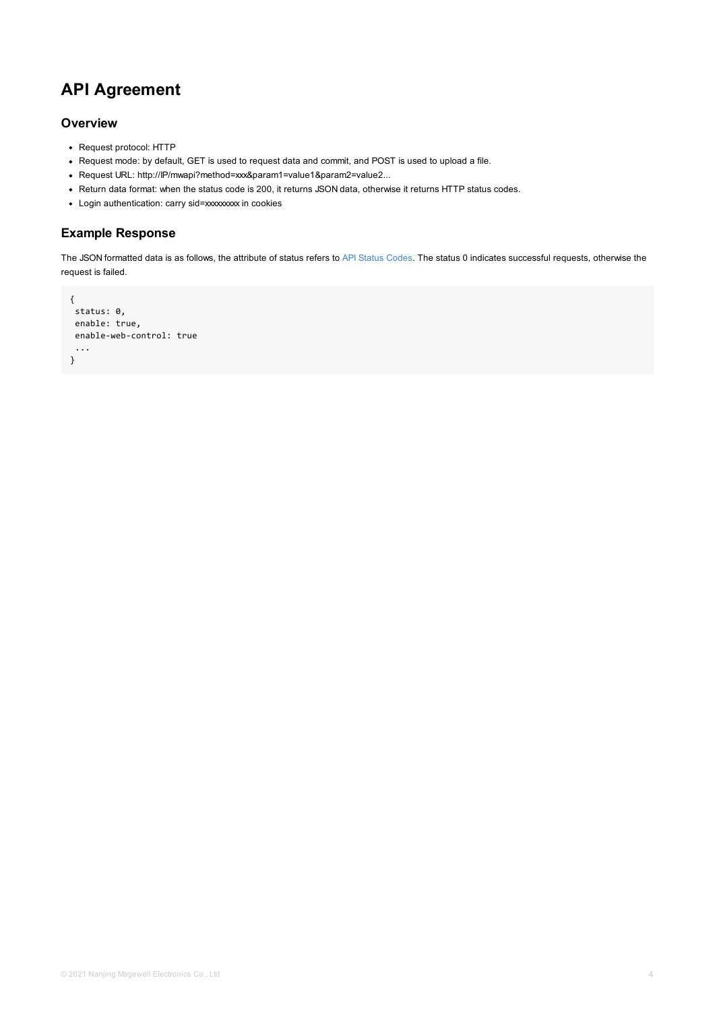```
enable-web-control: true
...
}
```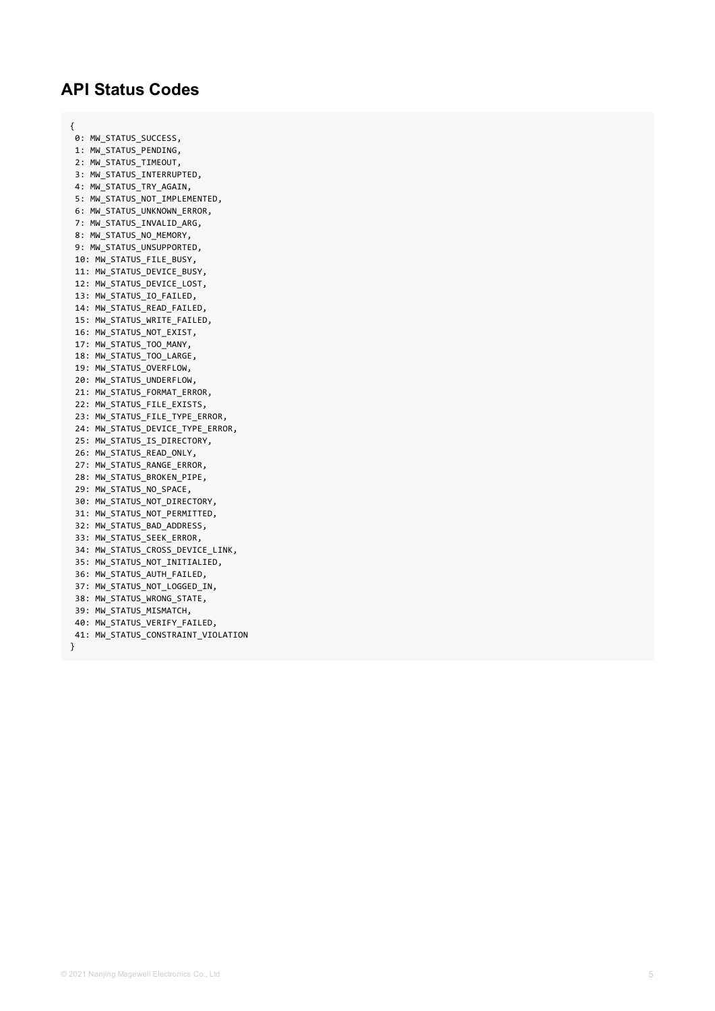## <span id="page-4-0"></span>**API Status Codes**

{

0: MW\_STATUS\_SUCCESS**,** 1: MW\_STATUS\_PENDING, 2: MW\_STATUS\_TIMEOUT**,** 3: MW\_STATUS\_INTERRUPTED**,** 4: MW\_STATUS\_TRY\_AGAIN**,** 5: MW\_STATUS\_NOT\_IMPLEMENTED, 6: MW\_STATUS\_UNKNOWN\_ERROR**,** 7: MW\_STATUS\_INVALID\_ARG**,** 8: MW\_STATUS\_NO\_MEMORY**,** 9: MW\_STATUS\_UNSUPPORTED**,** 10: MW\_STATUS\_FILE\_BUSY, 11: MW\_STATUS\_DEVICE\_BUSY, 12: MW\_STATUS\_DEVICE\_LOST, 13: MW\_STATUS\_IO\_FAILED**,** 14: MW\_STATUS\_READ\_FAILED**,** 15: MW\_STATUS\_WRITE\_FAILED, 16: MW\_STATUS\_NOT\_EXIST, 17: MW\_STATUS\_TOO\_MANY**,** 18: MW\_STATUS\_TOO\_LARGE, 19: MW\_STATUS\_OVERFLOW**,** 20: MW\_STATUS\_UNDERFLOW, 21: MW\_STATUS\_FORMAT\_ERROR**,** 22: MW\_STATUS\_FILE\_EXISTS**,** 23: MW\_STATUS\_FILE\_TYPE\_ERROR**,** 24: MW\_STATUS\_DEVICE\_TYPE\_ERROR, 25: MW\_STATUS\_IS\_DIRECTORY, 26: MW\_STATUS\_READ\_ONLY**,** 27: MW\_STATUS\_RANGE\_ERROR**,** 28: MW\_STATUS\_BROKEN\_PIPE, 29: MW\_STATUS\_NO\_SPACE**,** 30: MW\_STATUS\_NOT\_DIRECTORY, 31: MW\_STATUS\_NOT\_PERMITTED, 32: MW\_STATUS\_BAD\_ADDRESS, 33: MW\_STATUS\_SEEK\_ERROR**,** 34: MW\_STATUS\_CROSS\_DEVICE\_LINK, 35: MW\_STATUS\_NOT\_INITIALIED, 36: MW\_STATUS\_AUTH\_FAILED, 37: MW\_STATUS\_NOT\_LOGGED\_IN**,** 38: MW\_STATUS\_WRONG\_STATE, 39: MW\_STATUS\_MISMATCH, 40: MW\_STATUS\_VERIFY\_FAILED, 41: MW\_STATUS\_CONSTRAINT\_VIOLATION }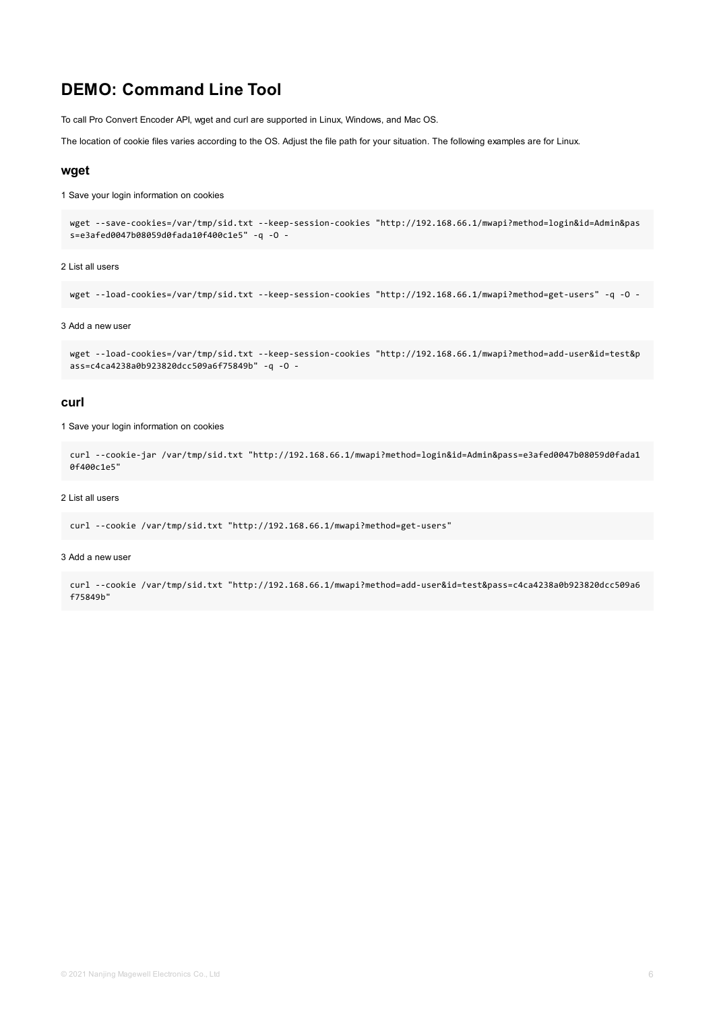## **DEMO: Command Line Tool**

To call Pro Convert Encoder API, wget and curl are supported in Linux, Windows, and Mac OS.

The location of cookie files varies according to the OS. Adjust the file path for your situation. The following examples are for Linux.

#### **wget**

1 Save your login information on cookies

```
wget --save-cookies=/var/tmp/sid.txt --keep-session-cookies "http://192.168.66.1/mwapi?method=login&id=Admin&pas
s=e3afed0047b08059d0fada10f400c1e5" -q -O -
```
#### 2 List all users

```
wget --load-cookies=/var/tmp/sid.txt --keep-session-cookies "http://192.168.66.1/mwapi?method=get-users" -q -O -
```
#### 3 Add a new user

```
wget --load-cookies=/var/tmp/sid.txt --keep-session-cookies "http://192.168.66.1/mwapi?method=add-user&id=test&p
ass=c4ca4238a0b923820dcc509a6f75849b" -q -O -
```
#### **curl**

1 Save your login information on cookies

```
curl --cookie-jar /var/tmp/sid.txt "http://192.168.66.1/mwapi?method=login&id=Admin&pass=e3afed0047b08059d0fada1
0f400c1e5"
```
#### 2 List all users

```
curl --cookie /var/tmp/sid.txt "http://192.168.66.1/mwapi?method=get-users"
```
#### 3 Add a new user

curl --cookie /var/tmp/sid.txt "http://192.168.66.1/mwapi?method=add-user&id=test&pass=c4ca4238a0b923820dcc509a6 f75849b"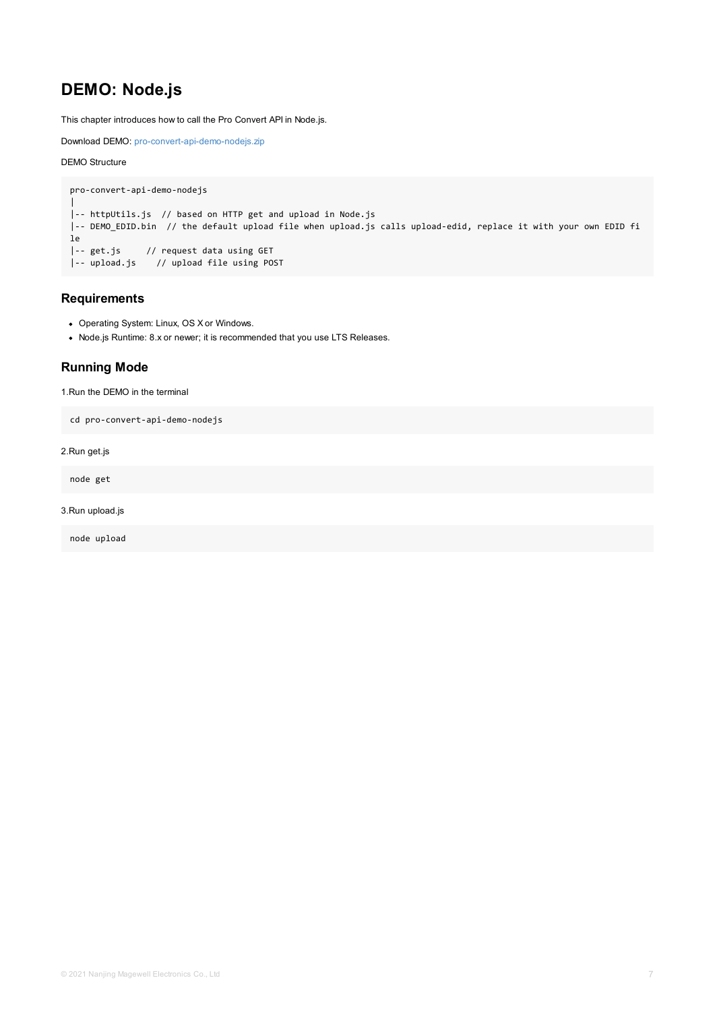Node.js Runtime: 8.x or newer; it is recommended that you use LTS Releases.

### <span id="page-6-0"></span>**Running Mode**

1.Run the DEMO in the terminal

```
cd pro-convert-api-demo-nodejs
```
2.Run get.js

node get

#### 3.Run upload.js

node upload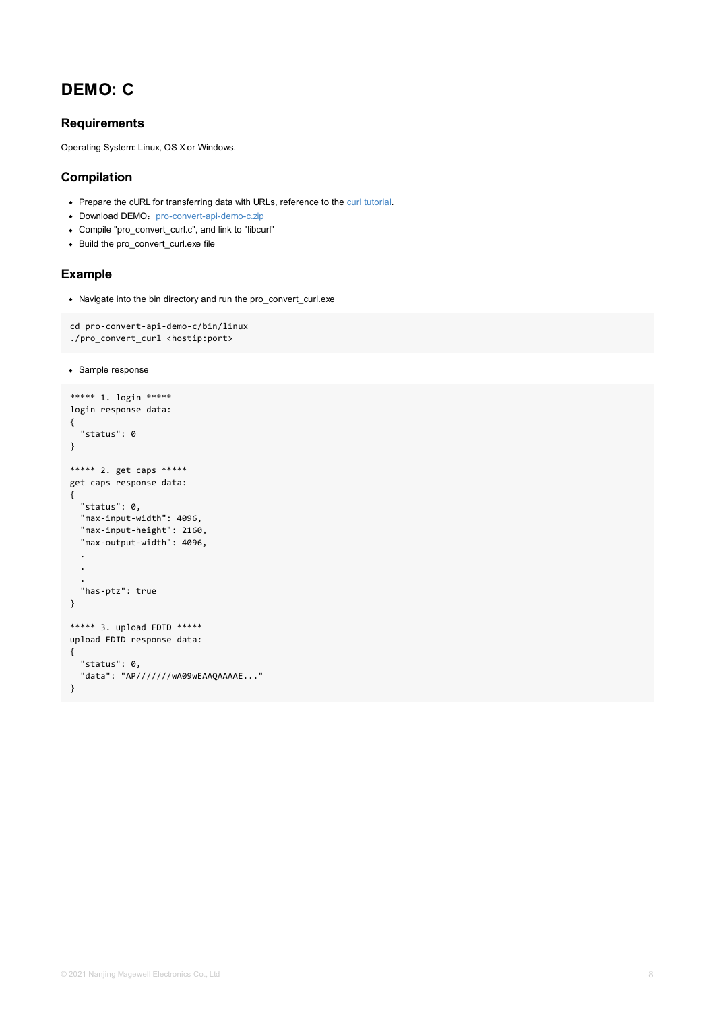```
./bro_convert_curl <mostip:bort>
```

```
• Sample response
```

```
***** 1. login *****
login response data:
{
  "status": 0
}
***** 2. get caps *****
get caps response data:
{
  "status": 0,
  "max-input-width": 4096,
  "max-input-height": 2160,
  "max-output-width": 4096,
  .
  .
  .
  "has-ptz": true
}
***** 3. upload EDID *****
upload EDID response data:
{
  "status": 0,
  "data": "AP///////wA09wEAAQAAAAE..."
}
```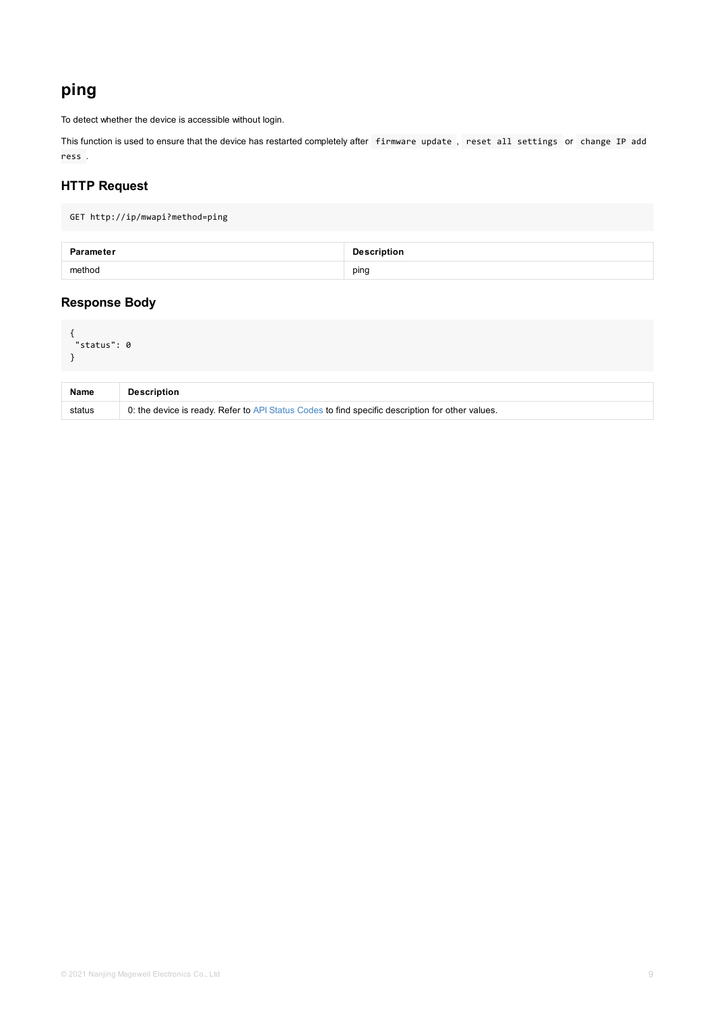```
"status": 0
}
```

| <b>Name</b> | <b>Description</b>                                                                               |
|-------------|--------------------------------------------------------------------------------------------------|
| status      | 0: the device is ready. Refer to API Status Codes to find specific description for other values. |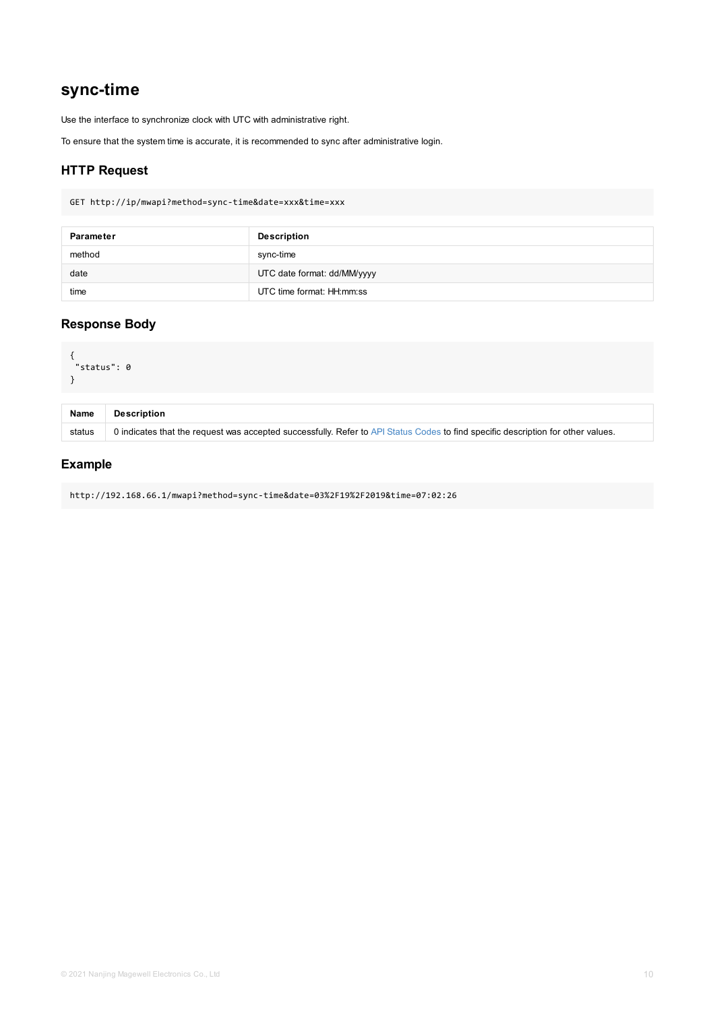```
{
"status": 0
}
```

| <b>Name</b> | <b>Description</b>                                                                                      |
|-------------|---------------------------------------------------------------------------------------------------------|
| status      | 0 indicates that the request was accepted successfully. Refer to API Status Codes to find specific desc |

http://192.168.66.1/mwapi?method=sync-time&date=03%2F19%2F2019&time=07:02:26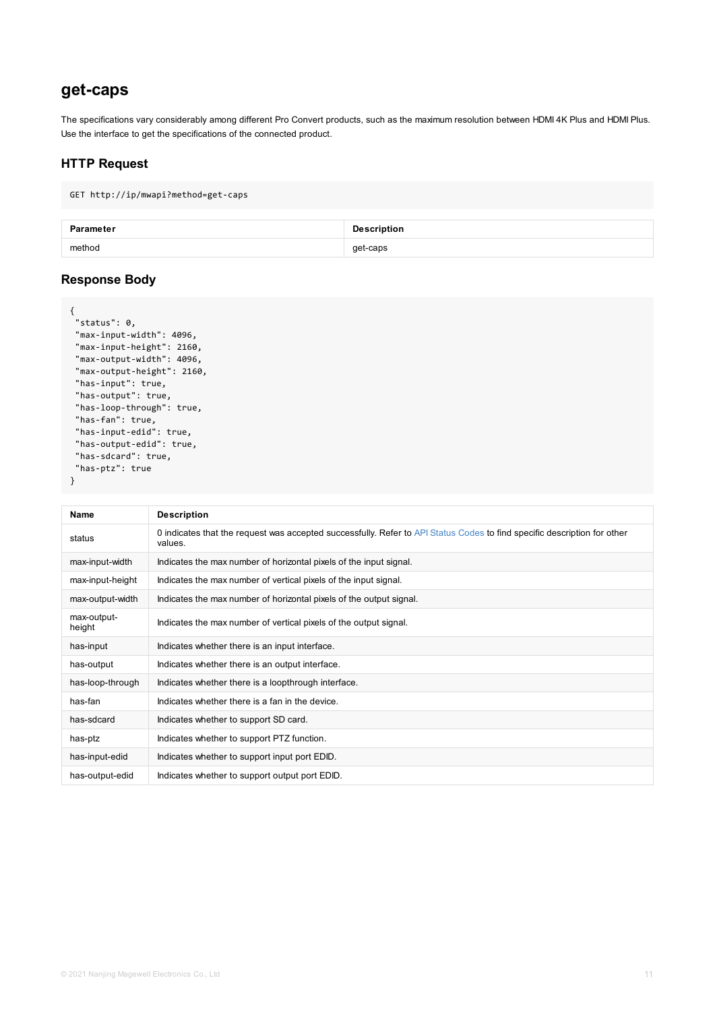```
"max-input-width": 4096,
 "max-input-height": 2160,
 "max-output-width": 4096,
 "max-output-height": 2160,
 "has-input": true,
 "has-output": true,
 "has-loop-through": true,
 "has-fan": true,
 "has-input-edid": true,
"has-output-edid": true,
"has-sdcard": true,
"has-ptz": true
}
```

| <b>Name</b>           | <b>Description</b>                                                                                     |
|-----------------------|--------------------------------------------------------------------------------------------------------|
| status                | 0 indicates that the request was accepted successfully. Refer to API Status Codes to find s<br>values. |
| max-input-width       | Indicates the max number of horizontal pixels of the input signal.                                     |
| max-input-height      | Indicates the max number of vertical pixels of the input signal.                                       |
| max-output-width      | Indicates the max number of horizontal pixels of the output signal.                                    |
| max-output-<br>height | Indicates the max number of vertical pixels of the output signal.                                      |
| has-input             | Indicates whether there is an input interface.                                                         |
| has-output            | Indicates whether there is an output interface.                                                        |
| has-loop-through      | Indicates whether there is a loopthrough interface.                                                    |
| has-fan               | Indicates whether there is a fan in the device.                                                        |
| has-sdcard            | Indicates whether to support SD card.                                                                  |
| has-ptz               | Indicates whether to support PTZ function.                                                             |
| has-input-edid        | Indicates whether to support input port EDID.                                                          |
| has-output-edid       | Indicates whether to support output port EDID.                                                         |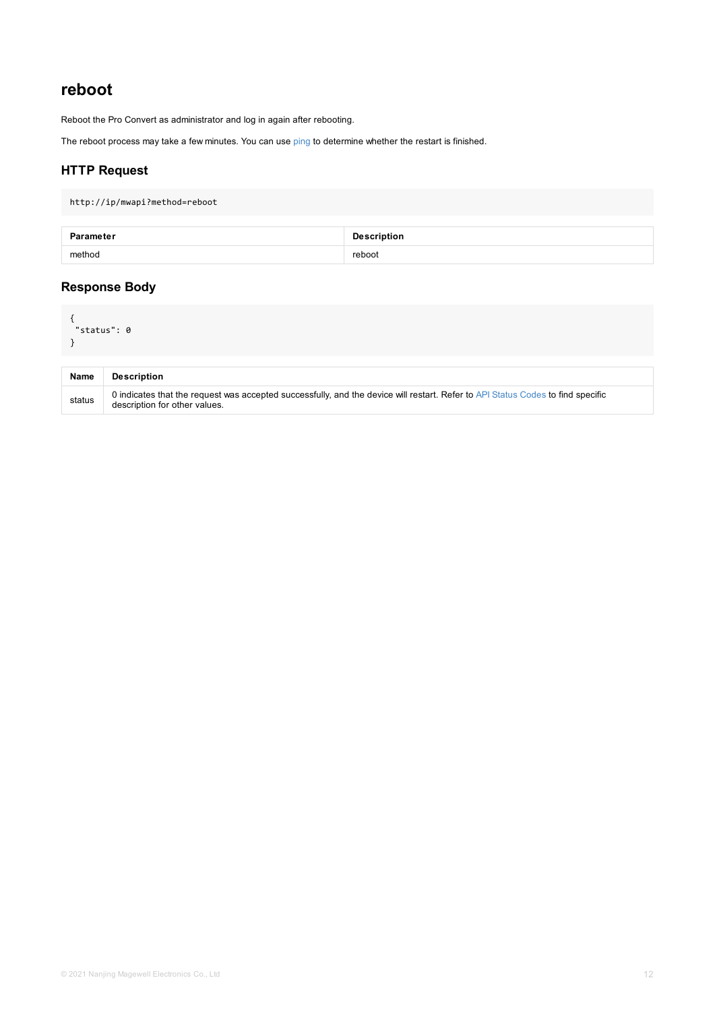<span id="page-11-0"></span>

| <b>Name</b> | <b>Description</b>                                                                                                                        |
|-------------|-------------------------------------------------------------------------------------------------------------------------------------------|
| status      | 0 indicates that the request was accepted successfully, and the device will restart. Refer to API Status<br>description for other values. |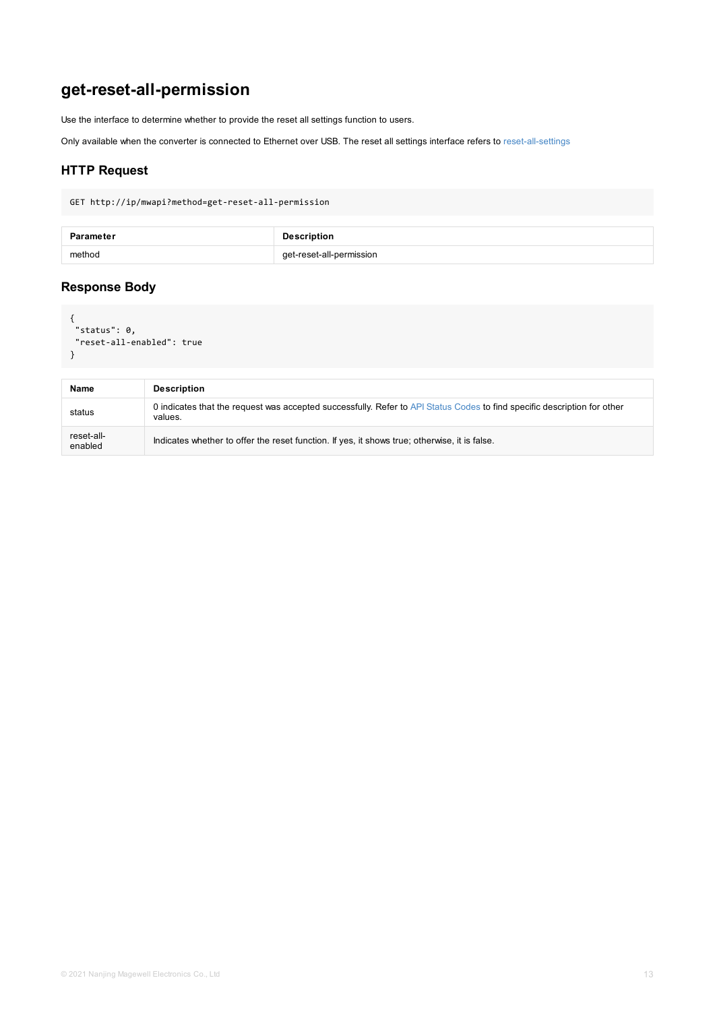```
"reset-all-enabled": true
}
```

| <b>Name</b>           | <b>Description</b>                                                                                      |
|-----------------------|---------------------------------------------------------------------------------------------------------|
| status                | 0 indicates that the request was accepted successfully. Refer to API Status Codes to find sp<br>values. |
| reset-all-<br>enabled | Indicates whether to offer the reset function. If yes, it shows true; otherwise, it is false.           |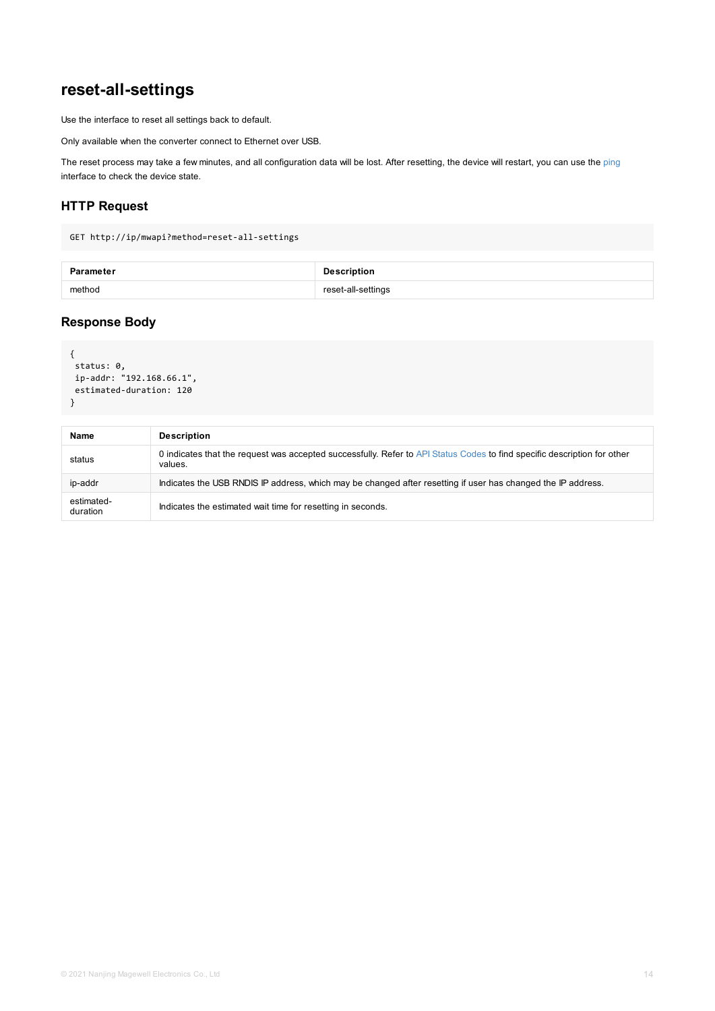```
{
status: 0,
ip-addr: "192.168.66.1",
estimated-duration: 120
}
```

| <b>Name</b>            | <b>Description</b>                                                                                     |
|------------------------|--------------------------------------------------------------------------------------------------------|
| status                 | 0 indicates that the request was accepted successfully. Refer to API Status Codes to find s<br>values. |
| ip-addr                | Indicates the USB RNDIS IP address, which may be changed after resetting if user has cha               |
| estimated-<br>duration | Indicates the estimated wait time for resetting in seconds.                                            |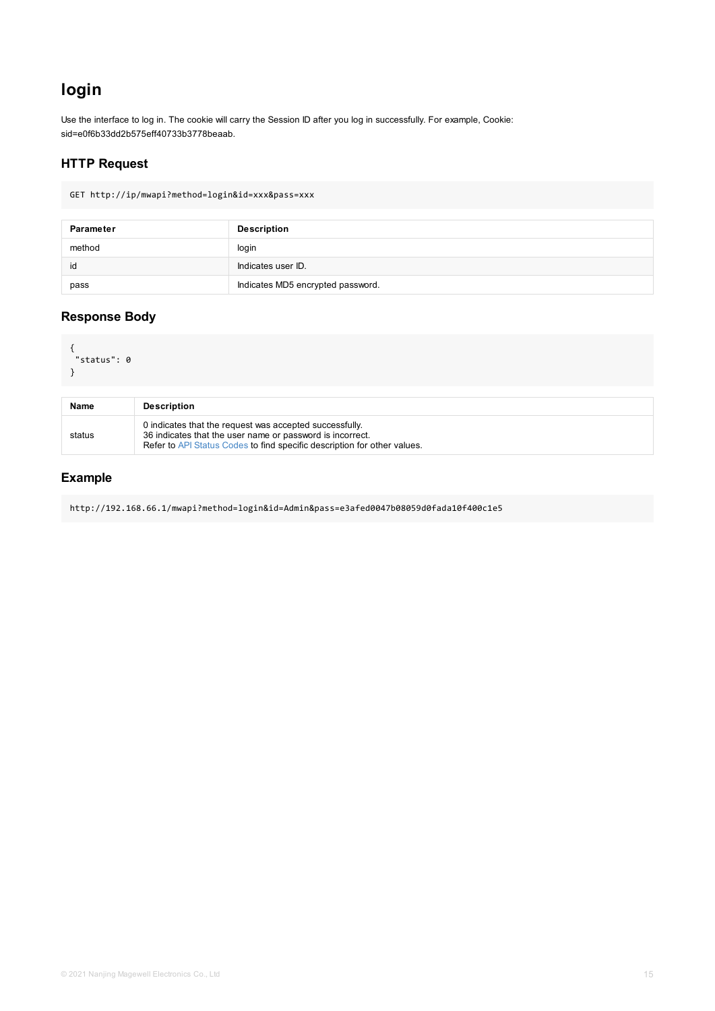```
{
 "status": 0
}
```

| <b>Name</b> | <b>Description</b>                                                                                                                                                                               |
|-------------|--------------------------------------------------------------------------------------------------------------------------------------------------------------------------------------------------|
| status      | 0 indicates that the request was accepted successfully.<br>36 indicates that the user name or password is incorrect.<br>Refer to API Status Codes to find specific description for other values. |

http://192.168.66.1/mwapi?method=login&id=Admin&pass=e3afed0047b08059d0fada10f400c1e5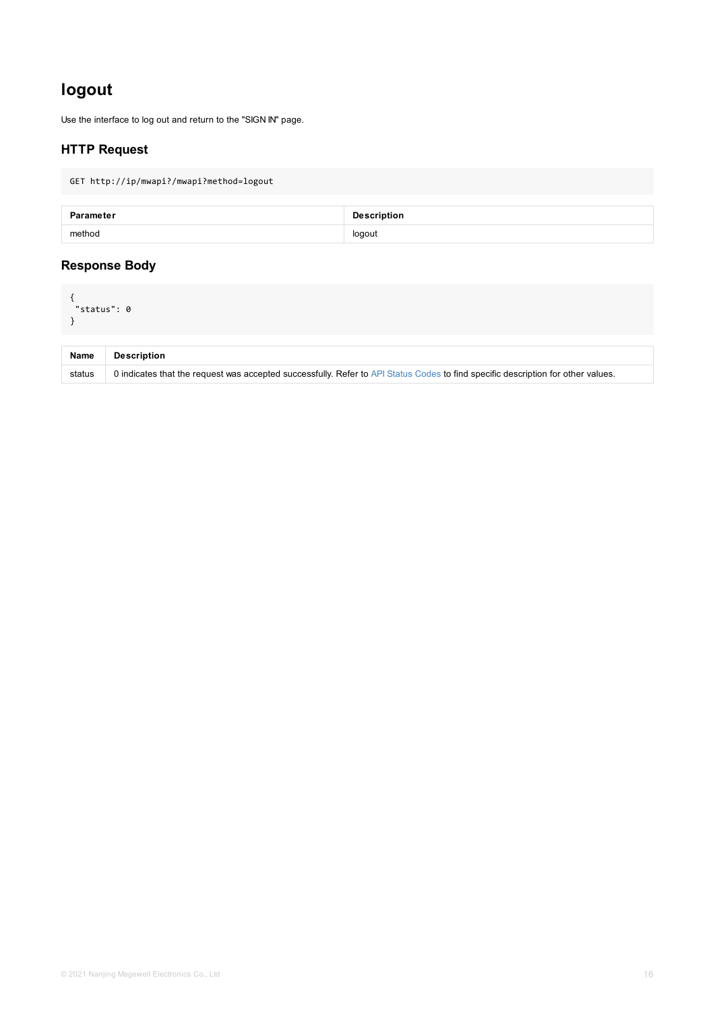<span id="page-15-0"></span>

| <b>Name</b> | <b>Description</b>                                                                                      |
|-------------|---------------------------------------------------------------------------------------------------------|
| status      | 0 indicates that the request was accepted successfully. Refer to API Status Codes to find specific desc |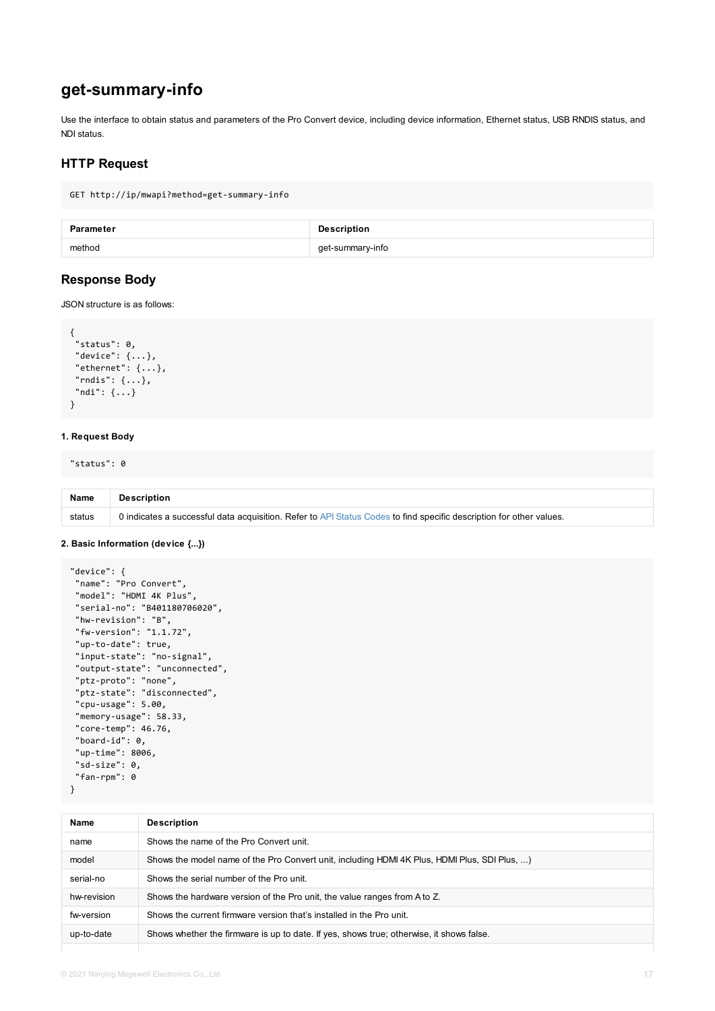```
"status": 0,
 "device": {...},
 "ethernet": {...},
"rndis": {...},
"ndi": {...}
}
```
#### **1. Request Body**

"status": 0

| <b>Name</b> | <b>Description</b>                                                                                       |
|-------------|----------------------------------------------------------------------------------------------------------|
| status      | 0 indicates a successful data acquisition. Refer to API Status Codes to find specific description for ot |

#### **2. Basic Information (device {...})**

```
"device": {
 "name": "Pro Convert",
 "model": "HDMI 4K Plus",
 "serial-no": "B401180706020",
 "hw-revision": "B",
 "fw-version": "1.1.72",
 "up-to-date": true,
"input-state": "no-signal",
 "output-state": "unconnected",
 "ptz-proto": "none",
 "ptz-state": "disconnected",
 "cpu-usage": 5.00,
 "memory-usage": 58.33,
 "core-temp": 46.76,
 "board-id": 0,
 "up-time": 8006,
"sd-size": 0,
"fan-rpm": 0
}
```

| <b>Name</b> | <b>Description</b>                                                                         |
|-------------|--------------------------------------------------------------------------------------------|
| name        | Shows the name of the Pro Convert unit.                                                    |
| model       | Shows the model name of the Pro Convert unit, including HDMI 4K Plus, HDMI Plus, SDI Plus, |
| serial-no   | Shows the serial number of the Pro unit.                                                   |
| hw-revision | Shows the hardware version of the Pro unit, the value ranges from A to Z.                  |
| fw-version  | Shows the current firmware version that's installed in the Pro unit.                       |
| up-to-date  | Shows whether the firmware is up to date. If yes, shows true; otherwise, it shows false.   |
|             |                                                                                            |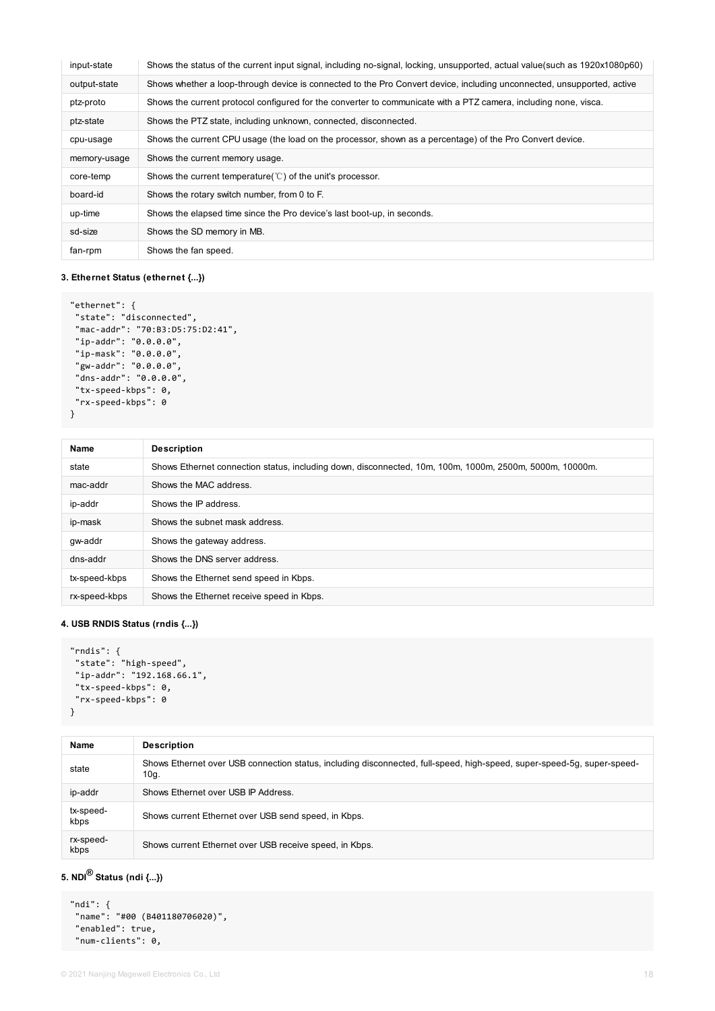| input-state  | Shows the status of the current input signal, including no-signal, locking, unsupported, actual value(such as 1920x1080p60) |
|--------------|-----------------------------------------------------------------------------------------------------------------------------|
| output-state | Shows whether a loop-through device is connected to the Pro Convert device, including unconnected, unsupported, active      |
| ptz-proto    | Shows the current protocol configured for the converter to communicate with a PTZ camera, including none, visca.            |
| ptz-state    | Shows the PTZ state, including unknown, connected, disconnected.                                                            |
| cpu-usage    | Shows the current CPU usage (the load on the processor, shown as a percentage) of the Pro Convert device.                   |
| memory-usage | Shows the current memory usage.                                                                                             |
| core-temp    | Shows the current temperature( $\degree$ C) of the unit's processor.                                                        |
| board-id     | Shows the rotary switch number, from 0 to F.                                                                                |
| up-time      | Shows the elapsed time since the Pro device's last boot-up, in seconds.                                                     |
| sd-size      | Shows the SD memory in MB.                                                                                                  |
| fan-rpm      | Shows the fan speed.                                                                                                        |

#### **3. Ethernet Status (ethernet {...})**

```
"ethernet": {
 "state": "disconnected",
 "mac-addr": "70:B3:D5:75:D2:41",
 "ip-addr": "0.0.0.0",
 "ip-mask": "0.0.0.0",
 "gw-addr": "0.0.0.0",
 "dns-addr": "0.0.0.0",
 "tx-speed-kbps": 0,
 "rx-speed-kbps": 0
}
```

| Name          | <b>Description</b>                                                                                      |  |
|---------------|---------------------------------------------------------------------------------------------------------|--|
| state         | Shows Ethernet connection status, including down, disconnected, 10m, 100m, 1000m, 2500m, 5000m, 10000m. |  |
| mac-addr      | Shows the MAC address.                                                                                  |  |
| ip-addr       | Shows the IP address.                                                                                   |  |
| ip-mask       | Shows the subnet mask address.                                                                          |  |
| gw-addr       | Shows the gateway address.                                                                              |  |
| dns-addr      | Shows the DNS server address.                                                                           |  |
| tx-speed-kbps | Shows the Ethernet send speed in Kbps.                                                                  |  |
| rx-speed-kbps | Shows the Ethernet receive speed in Kbps.                                                               |  |

#### **4. USB RNDIS Status (rndis {...})**

```
"rndis": {
 "state": "high-speed",
 "ip-addr": "192.168.66.1",
"tx-speed-kbps": 0,
 "rx-speed-kbps": 0
}
```

| Name              | <b>Description</b>                                                                                                              |
|-------------------|---------------------------------------------------------------------------------------------------------------------------------|
| state             | Shows Ethernet over USB connection status, including disconnected, full-speed, high-speed, super-speed-5g, super-speed-<br>10g. |
| ip-addr           | Shows Ethernet over USB IP Address.                                                                                             |
| tx-speed-<br>kbps | Shows current Ethernet over USB send speed, in Kbps.                                                                            |
| rx-speed-<br>kbps | Shows current Ethernet over USB receive speed, in Kbps.                                                                         |

### **5. NDI Status (ndi {...}) ®**

```
"ndi": {
"name": "#00 (B401180706020)",
"enabled": true,
"num-clients": 0,
```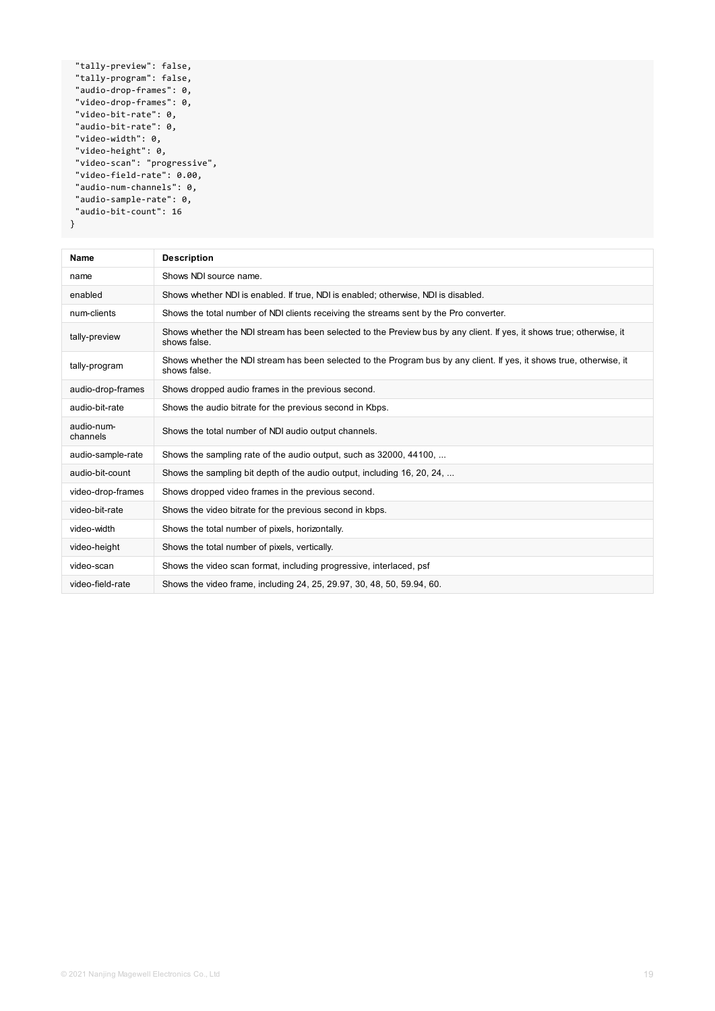| "tally-preview": false,      |
|------------------------------|
| "tally-program": false,      |
| "audio-drop-frames": 0,      |
| "video-drop-frames": 0,      |
| "video-bit-rate": 0,         |
| "audio-bit-rate": 0,         |
| "video-width": 0,            |
| "video-height": 0,           |
| "video-scan": "progressive", |
| "video-field-rate": 0.00,    |
| "audio-num-channels": 0,     |
| "audio-sample-rate": 0,      |
| "audio-bit-count": 16        |
|                              |

**Name Description** name Shows NDI source name. enabled Shows whether NDI is enabled. If true, NDI is enabled; otherwise, NDI is disabled. num-clients Shows the total number of NDI clients receiving the streams sent by the Pro converter. tally-preview Shows whether the NDI stream has been selected to the Preview bus by any client. If yes, it shows true; otherwise, it shows false. tally-program Shows whether the NDI stream has been selected to the Program bus by any client. If yes, it shows true, otherwise, it shows false. audio-drop-frames Shows dropped audio frames in the previous second. audio-bit-rate Shows the audio bitrate for the previous second in Kbps. audio-numchannels Shows the total number of NDI audio output channels. audio-sample-rate Shows the sampling rate of the audio output, such as  $32000, 44100, ...$ audio-bit-count Shows the sampling bit depth of the audio output, including 16, 20, 24, ... video-drop-frames Shows dropped video frames in the previous second. video-bit-rate Shows the video bitrate for the previous second in kbps. video-width Shows the total number of pixels, horizontally. video-height Shows the total number of pixels, vertically. video-scan Shows the video scan format, including progressive, interlaced, psf video-field-rate Shows the video frame, including 24, 25, 29.97, 30, 48, 50, 59.94, 60.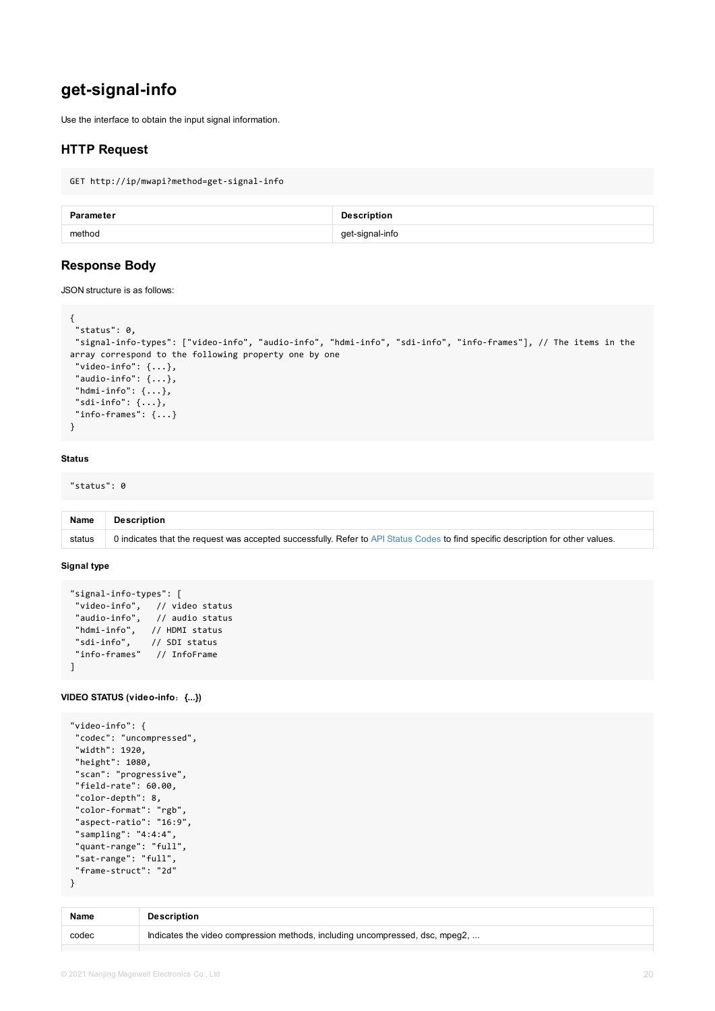```
"signal-info-types": ["video-info", "audio-info", "hdmi-info", "sdi-info", "info-frames
array correspond to the following property one by one
 "video-info": \{ \ldots \},
 "audio-info": {...},
"hdmi-info": {...},
"sdi-info": \{\ldots\},
"info-frames": {...}
}
```
#### **Status**

"status": 0

| <b>Name</b> | <b>Description</b>                                                                                      |
|-------------|---------------------------------------------------------------------------------------------------------|
| status      | 0 indicates that the request was accepted successfully. Refer to API Status Codes to find specific desc |

#### **Signal type**

```
"signal-info-types": [
"video-info", // video status
"audio-info", // audio status
"hdmi-info", // HDMI status
"sdi-info", // SDI status
"info-frames" // InfoFrame
\mathbf{1}
```
#### **VIDEO STATUS (video-info**:**{...})**

```
"video-info": {
 "codec": "uncompressed",
"width": 1920,
 "height": 1080,
 "scan": "progressive",
 "field-rate": 60.00,
 "color-depth": 8,
 "color-format": "rgb",
 "aspect-ratio": "16:9",
 "sampling": "4:4:4",
 "quant-range": "full",
"sat-range": "full",
 "frame-struct": "2d"
}
```

| <b>Name</b> | <b>Description</b>                                                           |
|-------------|------------------------------------------------------------------------------|
| codec       | Indicates the video compression methods, including uncompressed, dsc, mpeg2, |
|             |                                                                              |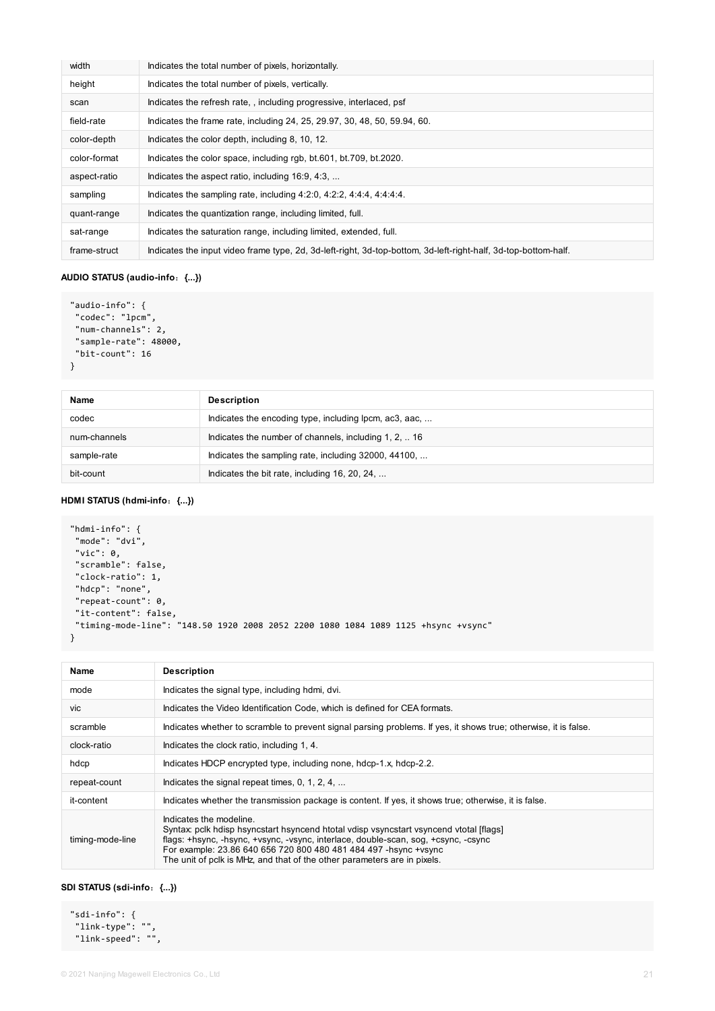| width        | Indicates the total number of pixels, horizontally.                                                             |
|--------------|-----------------------------------------------------------------------------------------------------------------|
| height       | Indicates the total number of pixels, vertically.                                                               |
| scan         | Indicates the refresh rate,, including progressive, interlaced, psf                                             |
| field-rate   | Indicates the frame rate, including 24, 25, 29.97, 30, 48, 50, 59.94, 60.                                       |
| color-depth  | Indicates the color depth, including 8, 10, 12.                                                                 |
| color-format | Indicates the color space, including rgb, bt.601, bt.709, bt.2020.                                              |
| aspect-ratio | Indicates the aspect ratio, including 16:9, 4:3,                                                                |
| sampling     | Indicates the sampling rate, including $4:2:0, 4:2:2, 4:4:4, 4:4:4:4$ .                                         |
| quant-range  | Indicates the quantization range, including limited, full.                                                      |
| sat-range    | Indicates the saturation range, including limited, extended, full.                                              |
| frame-struct | Indicates the input video frame type, 2d, 3d-left-right, 3d-top-bottom, 3d-left-right-half, 3d-top-bottom-half. |

#### **AUDIO STATUS (audio-info**:**{...})**

```
"audio-info": {
 "codec": "lpcm",
 "num-channels": 2,
 "sample-rate": 48000,
 "bit-count": 16
}
```

| <b>Name</b>  | <b>Description</b>                                     |
|--------------|--------------------------------------------------------|
| codec        | Indicates the encoding type, including lpcm, ac3, aac, |
| num-channels | Indicates the number of channels, including 1, 2,  16  |
| sample-rate  | Indicates the sampling rate, including 32000, 44100,   |
| bit-count    | Indicates the bit rate, including 16, 20, 24,          |

#### **HDMI STATUS (hdmi-info**:**{...})**

```
"hdmi-info": {
 "mode": "dvi",
"vic": 0,
 "scramble": false,
 "clock-ratio": 1,
 "hdcp": "none",
 "repeat-count": 0,
 "it-content": false,
 "timing-mode-line": "148.50 1920 2008 2052 2200 1080 1084 1089 1125 +hsync +vsync"
}
```

| <b>Name</b>      | <b>Description</b>                                                                                                                                                                                                                                                                                                                                        |
|------------------|-----------------------------------------------------------------------------------------------------------------------------------------------------------------------------------------------------------------------------------------------------------------------------------------------------------------------------------------------------------|
| mode             | Indicates the signal type, including hdmi, dvi.                                                                                                                                                                                                                                                                                                           |
| Vic.             | Indicates the Video Identification Code, which is defined for CEA formats.                                                                                                                                                                                                                                                                                |
| scramble         | Indicates whether to scramble to prevent signal parsing problems. If yes, it shows true; otherwise, it is false.                                                                                                                                                                                                                                          |
| clock-ratio      | Indicates the clock ratio, including 1, 4.                                                                                                                                                                                                                                                                                                                |
| hdcp             | Indicates HDCP encrypted type, including none, hdcp-1.x, hdcp-2.2.                                                                                                                                                                                                                                                                                        |
| repeat-count     | Indicates the signal repeat times, 0, 1, 2, 4,                                                                                                                                                                                                                                                                                                            |
| it-content       | Indicates whether the transmission package is content. If yes, it shows true; otherwise, it is false.                                                                                                                                                                                                                                                     |
| timing-mode-line | Indicates the modeline.<br>Syntax: pclk hdisp hsyncstart hsyncend htotal vdisp vsyncstart vsyncend vtotal [flags]<br>flags: +hsync, -hsync, +vsync, -vsync, interlace, double-scan, sog, +csync, -csync<br>For example: 23.86 640 656 720 800 480 481 484 497 - hsync + vsync<br>The unit of pclk is MHz, and that of the other parameters are in pixels. |

#### **SDI STATUS (sdi-info**:**{...})**

"sdi-info": { "link-type": "", "link-speed": "",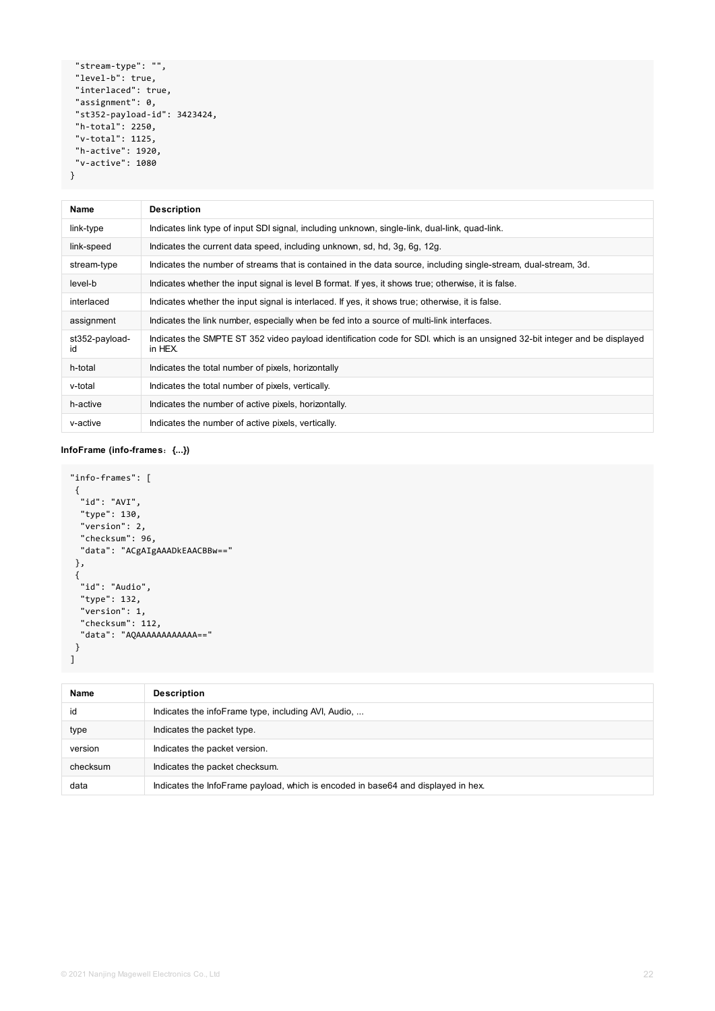```
"stream-type": "",
 "level-b": true,
 "interlaced": true,
 "assignment": 0,
 "st352-payload-id": 3423424,
 "h-total": 2250,
 "v-total": 1125,
 "h-active": 1920,
 "v-active": 1080
}
```

```
"info-frames": [
 {
 "id": "AVI",
 "type": 130,
 "version": 2,
 "checksum": 96,
 "data": "ACgAIgAAADkEAACBBw=="
 },
 {
 "id": "Audio",
 "type": 132,
  "version": 1,
 "checksum": 112,
 "data": "AQAAAAAAAAAAAA=="
}
\mathbf{I}
```

| <b>Name</b>          | <b>Description</b>                                                                                                                    |
|----------------------|---------------------------------------------------------------------------------------------------------------------------------------|
| link-type            | Indicates link type of input SDI signal, including unknown, single-link, dual-link, quad-link.                                        |
| link-speed           | Indicates the current data speed, including unknown, sd, hd, 3g, 6g, 12g.                                                             |
| stream-type          | Indicates the number of streams that is contained in the data source, including single-stream, dual-stream, 3d.                       |
| level-b              | Indicates whether the input signal is level B format. If yes, it shows true; otherwise, it is false.                                  |
| interlaced           | Indicates whether the input signal is interlaced. If yes, it shows true; otherwise, it is false.                                      |
| assignment           | Indicates the link number, especially when be fed into a source of multi-link interfaces.                                             |
| st352-payload-<br>id | Indicates the SMPTE ST 352 video payload identification code for SDI. which is an unsigned 32-bit integer and be displayed<br>in HEX. |
| h-total              | Indicates the total number of pixels, horizontally                                                                                    |
| v-total              | Indicates the total number of pixels, vertically.                                                                                     |
| h-active             | Indicates the number of active pixels, horizontally.                                                                                  |
| v-active             | Indicates the number of active pixels, vertically.                                                                                    |

#### **InfoFrame (info-frames**:**{...})**

| <b>Name</b> | <b>Description</b>                                  |
|-------------|-----------------------------------------------------|
| id          | Indicates the infoFrame type, including AVI, Audio, |
| type        | Indicates the packet type.                          |
| version     | Indicates the packet version.                       |
|             |                                                     |

| checksum | Indicates the packet checksum.                                                    |
|----------|-----------------------------------------------------------------------------------|
| data     | Indicates the InfoFrame payload, which is encoded in base64 and displayed in hex. |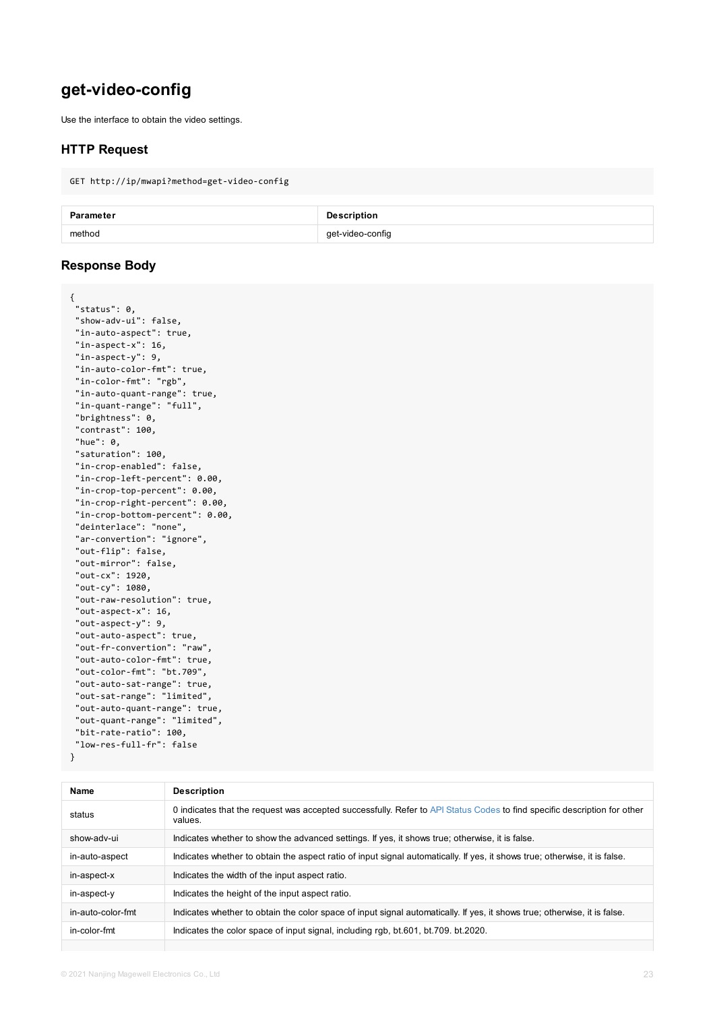```
"in-aspect-x": 16,
 "in-aspect-y": 9,
 "in-auto-color-fmt": true,
 "in-color-fmt": "rgb",
 "in-auto-quant-range": true,
 "in-quant-range": "full",
 "brightness": 0,
 "contrast": 100,
 "hue": 0,
 "saturation": 100,
 "in-crop-enabled": false,
 "in-crop-left-percent": 0.00,
 "in-crop-top-percent": 0.00,
 "in-crop-right-percent": 0.00,
 "in-crop-bottom-percent": 0.00,
 "deinterlace": "none",
 "ar-convertion": "ignore",
 "out-flip": false,
 "out-mirror": false,
 "out-cx": 1920,
 "out-cy": 1080,
 "out-raw-resolution": true,
 "out-aspect-x": 16,
 "out-aspect-y": 9,
 "out-auto-aspect": true,
 "out-fr-convertion": "raw",
 "out-auto-color-fmt": true,
 "out-color-fmt": "bt.709",
 "out-auto-sat-range": true,
 "out-sat-range": "limited",
 "out-auto-quant-range": true,
 "out-quant-range": "limited",
 "bit-rate-ratio": 100,
 "low-res-full-fr": false
}
```

| <b>Name</b>       | <b>Description</b>                                                                                  |
|-------------------|-----------------------------------------------------------------------------------------------------|
| status            | 0 indicates that the request was accepted successfully. Refer to API Status Codes to fir<br>values. |
| show-adv-ui       | Indicates whether to show the advanced settings. If yes, it shows true; otherwise, it is fa         |
| in-auto-aspect    | Indicates whether to obtain the aspect ratio of input signal automatically. If yes, it shows        |
| in-aspect-x       | Indicates the width of the input aspect ratio.                                                      |
| in-aspect-y       | Indicates the height of the input aspect ratio.                                                     |
| in-auto-color-fmt | Indicates whether to obtain the color space of input signal automatically. If yes, it shows         |
| in-color-fmt      | Indicates the color space of input signal, including rgb, bt.601, bt.709. bt.2020.                  |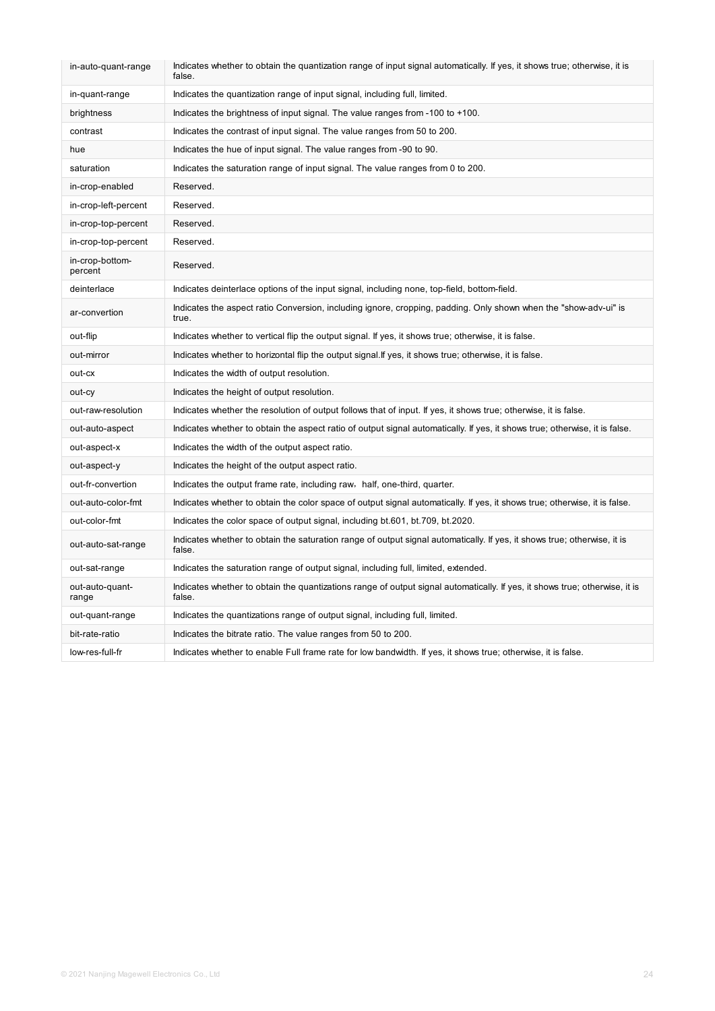| in-auto-quant-range        | Indicates whether to obtain the quantization range of input signal automatically. If yes, it shows true; otherwise, it is<br>false.   |
|----------------------------|---------------------------------------------------------------------------------------------------------------------------------------|
| in-quant-range             | Indicates the quantization range of input signal, including full, limited.                                                            |
| brightness                 | Indicates the brightness of input signal. The value ranges from -100 to +100.                                                         |
| contrast                   | Indicates the contrast of input signal. The value ranges from 50 to 200.                                                              |
| hue                        | Indicates the hue of input signal. The value ranges from -90 to 90.                                                                   |
| saturation                 | Indicates the saturation range of input signal. The value ranges from 0 to 200.                                                       |
| in-crop-enabled            | Reserved.                                                                                                                             |
| in-crop-left-percent       | Reserved.                                                                                                                             |
| in-crop-top-percent        | Reserved.                                                                                                                             |
| in-crop-top-percent        | Reserved.                                                                                                                             |
| in-crop-bottom-<br>percent | Reserved.                                                                                                                             |
| deinterlace                | Indicates deinterlace options of the input signal, including none, top-field, bottom-field.                                           |
| ar-convertion              | Indicates the aspect ratio Conversion, including ignore, cropping, padding. Only shown when the "show-adv-ui" is<br>true.             |
| out-flip                   | Indicates whether to vertical flip the output signal. If yes, it shows true; otherwise, it is false.                                  |
| out-mirror                 | Indicates whether to horizontal flip the output signal. If yes, it shows true; otherwise, it is false.                                |
| out-cx                     | Indicates the width of output resolution.                                                                                             |
| out-cy                     | Indicates the height of output resolution.                                                                                            |
| out-raw-resolution         | Indicates whether the resolution of output follows that of input. If yes, it shows true; otherwise, it is false.                      |
| out-auto-aspect            | Indicates whether to obtain the aspect ratio of output signal automatically. If yes, it shows true; otherwise, it is false.           |
| out-aspect-x               | Indicates the width of the output aspect ratio.                                                                                       |
| out-aspect-y               | Indicates the height of the output aspect ratio.                                                                                      |
| out-fr-convertion          | Indicates the output frame rate, including raw, half, one-third, quarter.                                                             |
| out-auto-color-fmt         | Indicates whether to obtain the color space of output signal automatically. If yes, it shows true; otherwise, it is false.            |
| out-color-fmt              | Indicates the color space of output signal, including bt.601, bt.709, bt.2020.                                                        |
| out-auto-sat-range         | Indicates whether to obtain the saturation range of output signal automatically. If yes, it shows true; otherwise, it is<br>false.    |
| out-sat-range              | Indicates the saturation range of output signal, including full, limited, extended.                                                   |
| out-auto-quant-<br>range   | Indicates whether to obtain the quantizations range of output signal automatically. If yes, it shows true; otherwise, it is<br>false. |
| out-quant-range            | Indicates the quantizations range of output signal, including full, limited.                                                          |
| bit-rate-ratio             | Indicates the bitrate ratio. The value ranges from 50 to 200.                                                                         |
| low-res-full-fr            | Indicates whether to enable Full frame rate for low bandwidth. If yes, it shows true; otherwise, it is false.                         |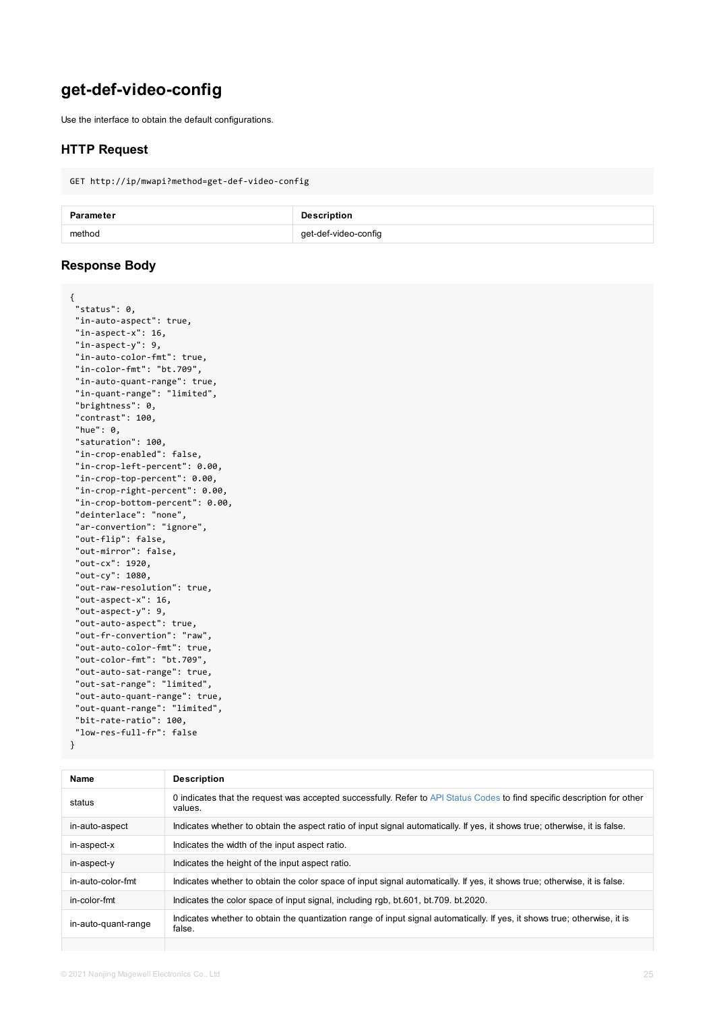```
"in-aspect-y": 9,
 "in-auto-color-fmt": true,
 "in-color-fmt": "bt.709",
 "in-auto-quant-range": true,
 "in-quant-range": "limited",
 "brightness": 0,
 "contrast": 100,
 "hue": 0,
 "saturation": 100,
 "in-crop-enabled": false,
 "in-crop-left-percent": 0.00,
 "in-crop-top-percent": 0.00,
 "in-crop-right-percent": 0.00,
 "in-crop-bottom-percent": 0.00,
 "deinterlace": "none",
 "ar-convertion": "ignore",
 "out-flip": false,
 "out-mirror": false,
 "out-cx": 1920,
 "out-cy": 1080,
 "out-raw-resolution": true,
 "out-aspect-x": 16,
 "out-aspect-y": 9,
 "out-auto-aspect": true,
 "out-fr-convertion": "raw",
 "out-auto-color-fmt": true,
 "out-color-fmt": "bt.709",
 "out-auto-sat-range": true,
 "out-sat-range": "limited",
 "out-auto-quant-range": true,
 "out-quant-range": "limited",
 "bit-rate-ratio": 100,
"low-res-full-fr": false
}
```

| <b>Name</b>         | <b>Description</b>                                                                                     |
|---------------------|--------------------------------------------------------------------------------------------------------|
| status              | 0 indicates that the request was accepted successfully. Refer to API Status Codes to fir<br>values.    |
| in-auto-aspect      | Indicates whether to obtain the aspect ratio of input signal automatically. If yes, it shows           |
| in-aspect-x         | Indicates the width of the input aspect ratio.                                                         |
| in-aspect-y         | Indicates the height of the input aspect ratio.                                                        |
| in-auto-color-fmt   | Indicates whether to obtain the color space of input signal automatically. If yes, it shows            |
| in-color-fmt        | Indicates the color space of input signal, including rgb, bt.601, bt.709. bt.2020.                     |
| in-auto-quant-range | Indicates whether to obtain the quantization range of input signal automatically. If yes, if<br>false. |
|                     |                                                                                                        |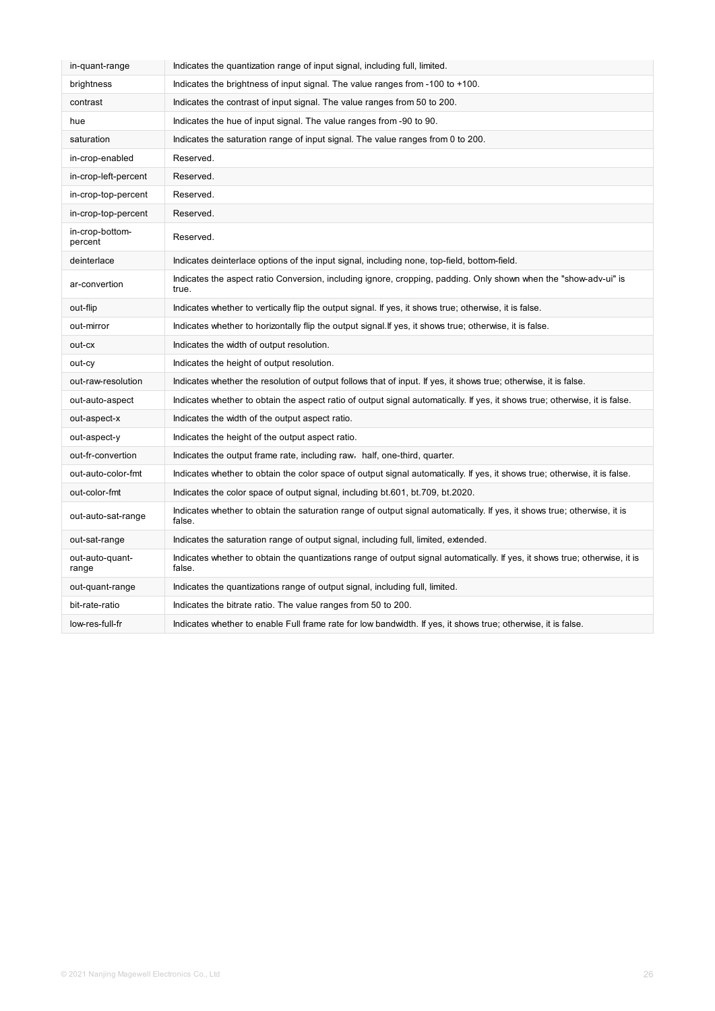| in-quant-range             | Indicates the quantization range of input signal, including full, limited.                                                            |
|----------------------------|---------------------------------------------------------------------------------------------------------------------------------------|
| brightness                 | Indicates the brightness of input signal. The value ranges from -100 to +100.                                                         |
| contrast                   | Indicates the contrast of input signal. The value ranges from 50 to 200.                                                              |
| hue                        | Indicates the hue of input signal. The value ranges from -90 to 90.                                                                   |
| saturation                 | Indicates the saturation range of input signal. The value ranges from 0 to 200.                                                       |
| in-crop-enabled            | Reserved.                                                                                                                             |
| in-crop-left-percent       | Reserved.                                                                                                                             |
| in-crop-top-percent        | Reserved.                                                                                                                             |
| in-crop-top-percent        | Reserved.                                                                                                                             |
| in-crop-bottom-<br>percent | Reserved.                                                                                                                             |
| deinterlace                | Indicates deinterlace options of the input signal, including none, top-field, bottom-field.                                           |
| ar-convertion              | Indicates the aspect ratio Conversion, including ignore, cropping, padding. Only shown when the "show-adv-ui" is<br>true.             |
| out-flip                   | Indicates whether to vertically flip the output signal. If yes, it shows true; otherwise, it is false.                                |
| out-mirror                 | Indicates whether to horizontally flip the output signal. If yes, it shows true; otherwise, it is false.                              |
| out-cx                     | Indicates the width of output resolution.                                                                                             |
| out-cy                     | Indicates the height of output resolution.                                                                                            |
| out-raw-resolution         | Indicates whether the resolution of output follows that of input. If yes, it shows true; otherwise, it is false.                      |
| out-auto-aspect            | Indicates whether to obtain the aspect ratio of output signal automatically. If yes, it shows true; otherwise, it is false.           |
| out-aspect-x               | Indicates the width of the output aspect ratio.                                                                                       |
| out-aspect-y               | Indicates the height of the output aspect ratio.                                                                                      |
| out-fr-convertion          | Indicates the output frame rate, including raw, half, one-third, quarter.                                                             |
| out-auto-color-fmt         | Indicates whether to obtain the color space of output signal automatically. If yes, it shows true; otherwise, it is false.            |
| out-color-fmt              | Indicates the color space of output signal, including bt.601, bt.709, bt.2020.                                                        |
| out-auto-sat-range         | Indicates whether to obtain the saturation range of output signal automatically. If yes, it shows true; otherwise, it is<br>false.    |
| out-sat-range              | Indicates the saturation range of output signal, including full, limited, extended.                                                   |
| out-auto-quant-<br>range   | Indicates whether to obtain the quantizations range of output signal automatically. If yes, it shows true; otherwise, it is<br>false. |
| out-quant-range            | Indicates the quantizations range of output signal, including full, limited.                                                          |
| bit-rate-ratio             | Indicates the bitrate ratio. The value ranges from 50 to 200.                                                                         |
| low-res-full-fr            | Indicates whether to enable Full frame rate for low bandwidth. If yes, it shows true; otherwise, it is false.                         |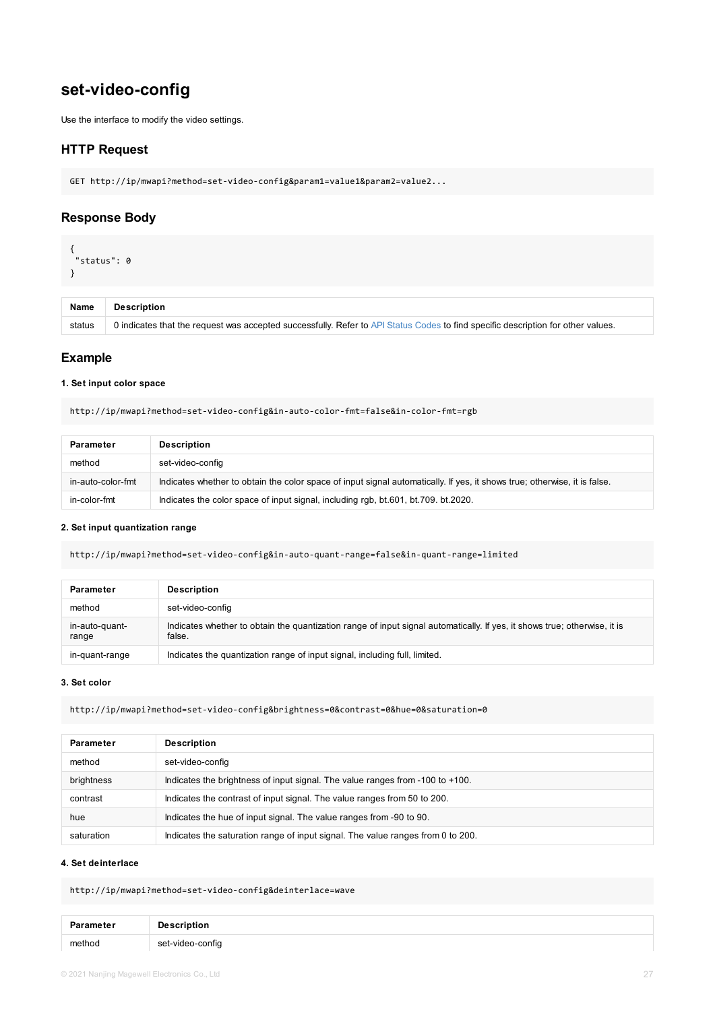#### **1. Set input color space**

http://ip/mwapi?method=set-video-config&in-auto-color-fmt=false&in-color-fmt=rgb

| <b>Parameter</b>  | <b>Description</b>                                                                              |
|-------------------|-------------------------------------------------------------------------------------------------|
| method            | set-video-config                                                                                |
| in-auto-color-fmt | Indicates whether to obtain the color space of input signal automatically. If yes, it shows tru |
| in-color-fmt      | Indicates the color space of input signal, including rgb, bt.601, bt.709. bt.2020.              |

#### **2. Set input quantization range**

http://ip/mwapi?method=set-video-config&in-auto-quant-range=false&in-quant-range=limited

| <b>Parameter</b>        | <b>Description</b>                                                                                       |
|-------------------------|----------------------------------------------------------------------------------------------------------|
| method                  | set-video-config                                                                                         |
| in-auto-quant-<br>range | Indicates whether to obtain the quantization range of input signal automatically. If yes, it s<br>false. |
| in-quant-range          | Indicates the quantization range of input signal, including full, limited.                               |

#### **3. Set color**

http://ip/mwapi?method=set-video-config&brightness=0&contrast=0&hue=0&saturation=0

| <b>Parameter</b> | <b>Description</b>                                                              |
|------------------|---------------------------------------------------------------------------------|
| method           | set-video-config                                                                |
| brightness       | Indicates the brightness of input signal. The value ranges from -100 to +100.   |
| contrast         | Indicates the contrast of input signal. The value ranges from 50 to 200.        |
| hue              | Indicates the hue of input signal. The value ranges from -90 to 90.             |
| saturation       | Indicates the saturation range of input signal. The value ranges from 0 to 200. |

#### **4. Set deinterlace**

http://ip/mwapi?method=set-video-config&deinterlace=wave

| Parameter | <b>Description</b> |
|-----------|--------------------|
| method    | set-video-config   |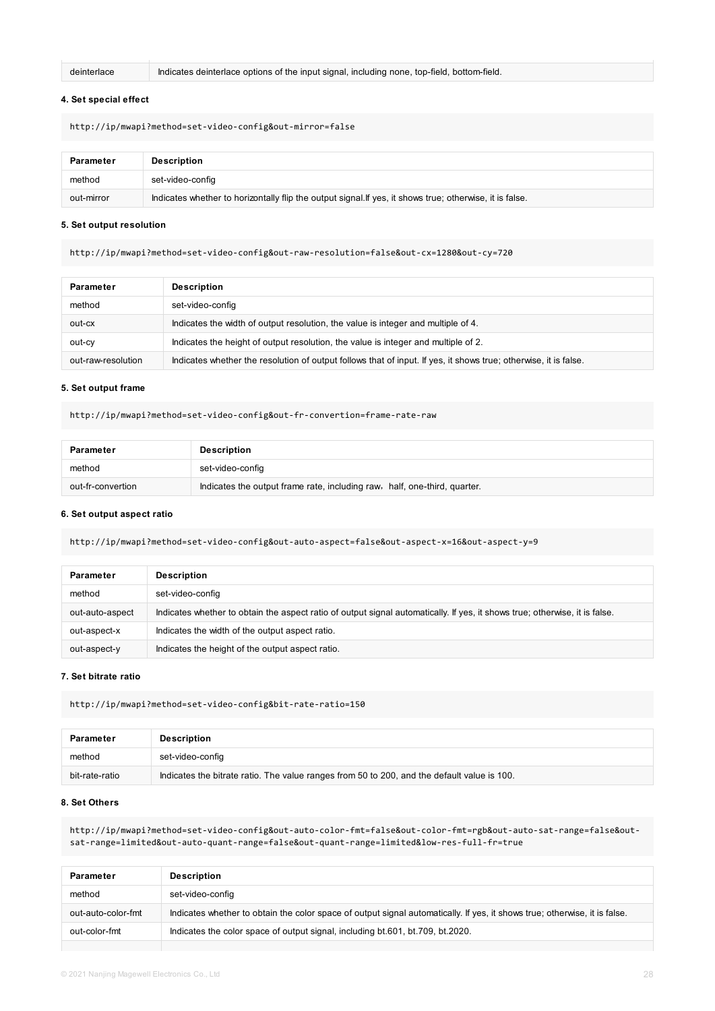deinterlace Indicates deinterlace options of the input signal, including none, top-field, bottom-field.

#### **4. Set special effect**

http://ip/mwapi?method=set-video-config&out-mirror=false

| Parameter  | Description                                                                                              |
|------------|----------------------------------------------------------------------------------------------------------|
| method     | set-video-config                                                                                         |
| out-mirror | Indicates whether to horizontally flip the output signal. If yes, it shows true; otherwise, it is false. |

#### **5. Set output resolution**

http://ip/mwapi?method=set-video-config&out-raw-resolution=false&out-cx=1280&out-cy=720

| <b>Parameter</b>   | <b>Description</b>                                                                                               |
|--------------------|------------------------------------------------------------------------------------------------------------------|
| method             | set-video-config                                                                                                 |
| out-cx             | Indicates the width of output resolution, the value is integer and multiple of 4.                                |
| out-cy             | Indicates the height of output resolution, the value is integer and multiple of 2.                               |
| out-raw-resolution | Indicates whether the resolution of output follows that of input. If yes, it shows true; otherwise, it is false. |

#### **5. Set output frame**

http://ip/mwapi?method=set-video-config&out-fr-convertion=frame-rate-raw

| <b>Parameter</b>           | <b>Description</b>                                                        |
|----------------------------|---------------------------------------------------------------------------|
| set-video-config<br>method |                                                                           |
| out-fr-convertion          | Indicates the output frame rate, including raw, half, one-third, quarter. |

#### **6. Set output aspect ratio**

http://ip/mwapi?method=set-video-config&out-auto-aspect=false&out-aspect-x=16&out-aspect-y=9

| <b>Parameter</b> | <b>Description</b>                                                                                                          |
|------------------|-----------------------------------------------------------------------------------------------------------------------------|
| method           | set-video-config                                                                                                            |
| out-auto-aspect  | Indicates whether to obtain the aspect ratio of output signal automatically. If yes, it shows true; otherwise, it is false. |
| out-aspect-x     | Indicates the width of the output aspect ratio.                                                                             |
| out-aspect-y     | Indicates the height of the output aspect ratio.                                                                            |

#### **7. Set bitrate ratio**

http://ip/mwapi?method=set-video-config&bit-rate-ratio=150

| <b>Parameter</b> | <b>Description</b> |
|------------------|--------------------|
| method           | set-video-config   |

#### **8. Set Others**

http://ip/mwapi?method=set-video-config&out-auto-color-fmt=false&out-color-fmt=rgb&out-auto-sat-range=false&outsat-range=limited&out-auto-quant-range=false&out-quant-range=limited&low-res-full-fr=true

| <b>Parameter</b>   | <b>Description</b>                                                                                                         |
|--------------------|----------------------------------------------------------------------------------------------------------------------------|
| method             | set-video-config                                                                                                           |
| out-auto-color-fmt | Indicates whether to obtain the color space of output signal automatically. If yes, it shows true; otherwise, it is false. |
| out-color-fmt      | Indicates the color space of output signal, including bt.601, bt.709, bt.2020.                                             |
|                    |                                                                                                                            |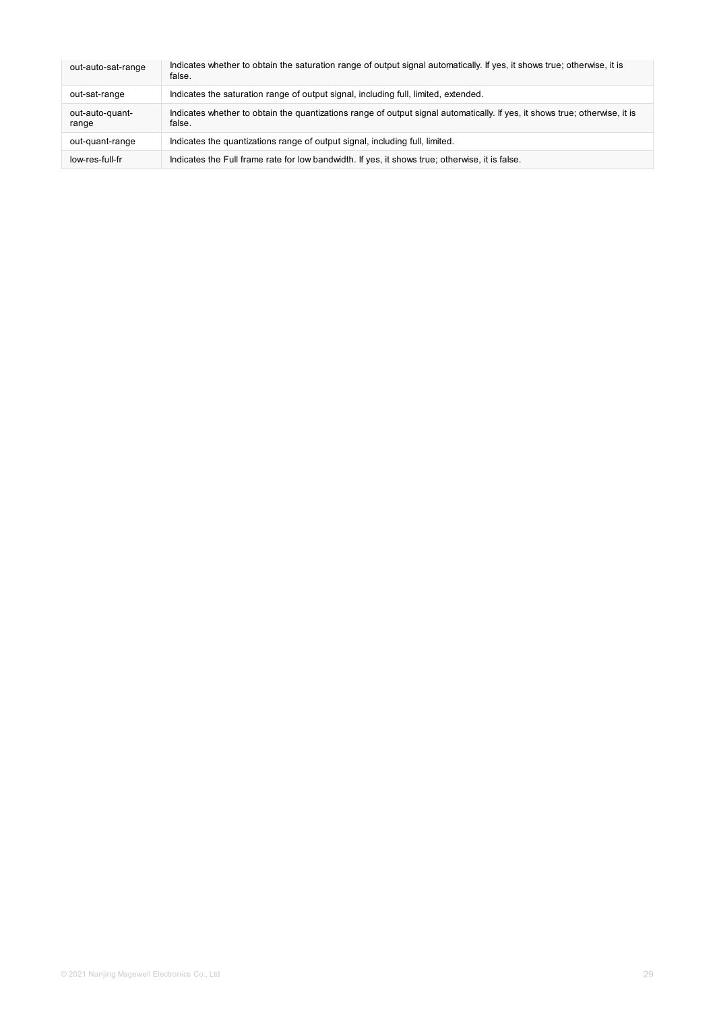| out-auto-sat-range       | Indicates whether to obtain the saturation range of output signal automatically. If yes, it shows true; otherwise, it is<br>false.    |
|--------------------------|---------------------------------------------------------------------------------------------------------------------------------------|
| out-sat-range            | Indicates the saturation range of output signal, including full, limited, extended.                                                   |
| out-auto-quant-<br>range | Indicates whether to obtain the quantizations range of output signal automatically. If yes, it shows true; otherwise, it is<br>false. |
| out-quant-range          | Indicates the quantizations range of output signal, including full, limited.                                                          |
| low-res-full-fr          | Indicates the Full frame rate for low bandwidth. If yes, it shows true; otherwise, it is false.                                       |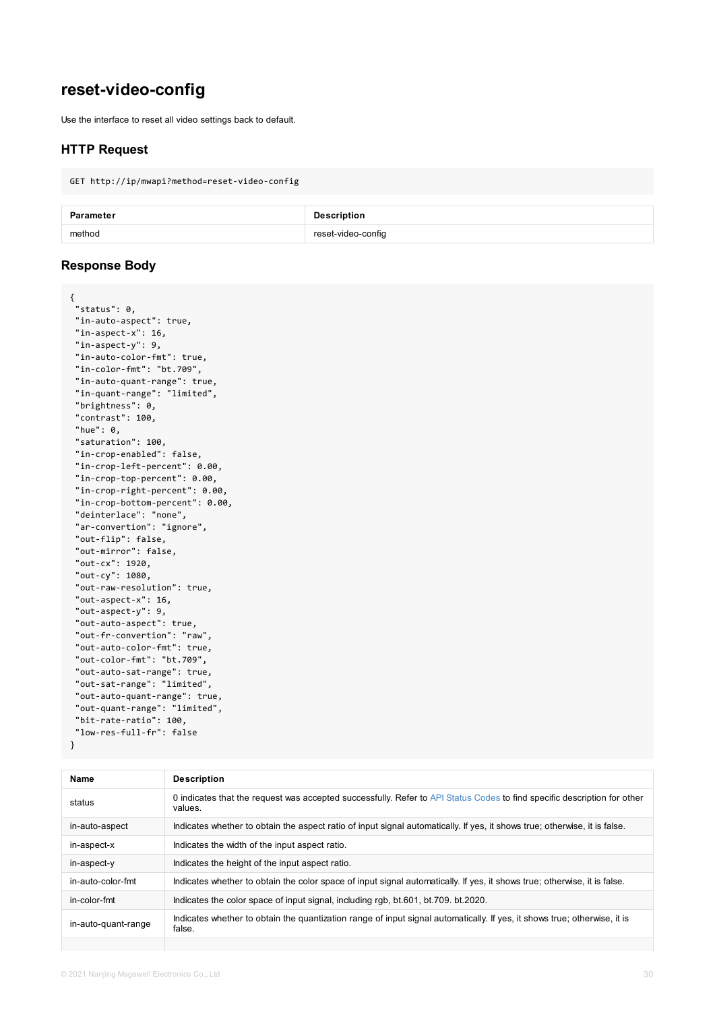```
"in-aspect-y": 9,
 "in-auto-color-fmt": true,
 "in-color-fmt": "bt.709",
 "in-auto-quant-range": true,
 "in-quant-range": "limited",
 "brightness": 0,
 "contrast": 100,
 "hue": 0,
 "saturation": 100,
 "in-crop-enabled": false,
 "in-crop-left-percent": 0.00,
 "in-crop-top-percent": 0.00,
 "in-crop-right-percent": 0.00,
 "in-crop-bottom-percent": 0.00,
 "deinterlace": "none",
 "ar-convertion": "ignore",
 "out-flip": false,
 "out-mirror": false,
 "out-cx": 1920,
 "out-cy": 1080,
 "out-raw-resolution": true,
 "out-aspect-x": 16,
 "out-aspect-y": 9,
 "out-auto-aspect": true,
 "out-fr-convertion": "raw",
 "out-auto-color-fmt": true,
 "out-color-fmt": "bt.709",
 "out-auto-sat-range": true,
 "out-sat-range": "limited",
 "out-auto-quant-range": true,
 "out-quant-range": "limited",
 "bit-rate-ratio": 100,
"low-res-full-fr": false
}
```

| <b>Name</b>         | <b>Description</b>                                                                                     |
|---------------------|--------------------------------------------------------------------------------------------------------|
| status              | 0 indicates that the request was accepted successfully. Refer to API Status Codes to fir<br>values.    |
| in-auto-aspect      | Indicates whether to obtain the aspect ratio of input signal automatically. If yes, it shows           |
| in-aspect-x         | Indicates the width of the input aspect ratio.                                                         |
| in-aspect-y         | Indicates the height of the input aspect ratio.                                                        |
| in-auto-color-fmt   | Indicates whether to obtain the color space of input signal automatically. If yes, it shows            |
| in-color-fmt        | Indicates the color space of input signal, including rgb, bt.601, bt.709. bt.2020.                     |
| in-auto-quant-range | Indicates whether to obtain the quantization range of input signal automatically. If yes, if<br>false. |
|                     |                                                                                                        |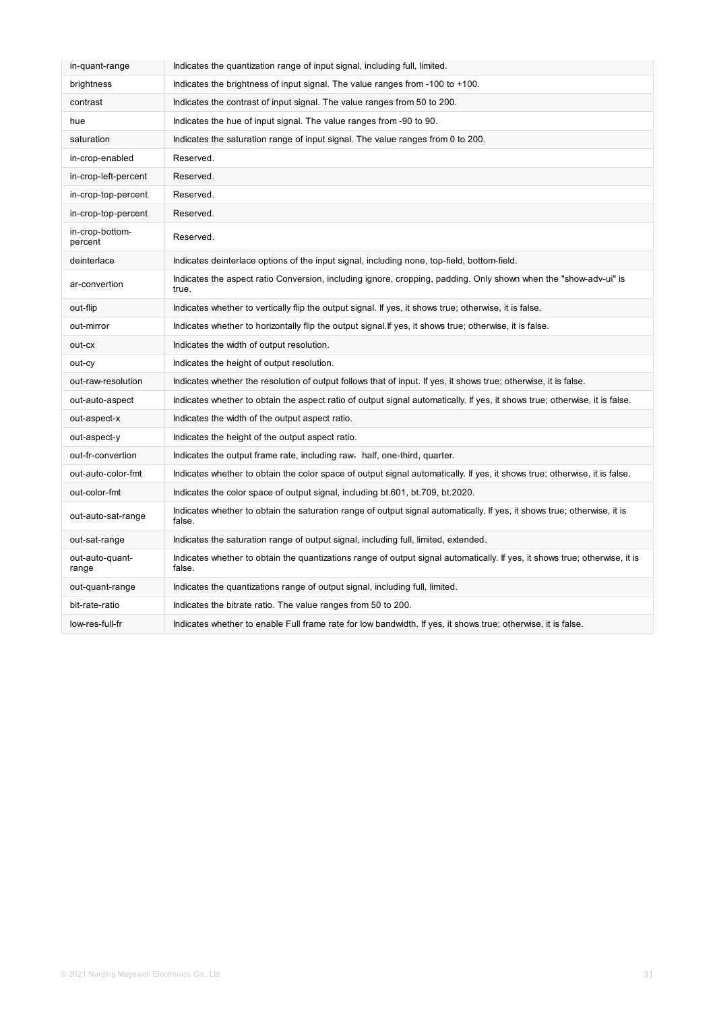| in-quant-range             | Indicates the quantization range of input signal, including full, limited.                                                            |
|----------------------------|---------------------------------------------------------------------------------------------------------------------------------------|
| brightness                 | Indicates the brightness of input signal. The value ranges from -100 to +100.                                                         |
| contrast                   | Indicates the contrast of input signal. The value ranges from 50 to 200.                                                              |
| hue                        | Indicates the hue of input signal. The value ranges from -90 to 90.                                                                   |
| saturation                 | Indicates the saturation range of input signal. The value ranges from 0 to 200.                                                       |
| in-crop-enabled            | Reserved.                                                                                                                             |
| in-crop-left-percent       | Reserved.                                                                                                                             |
| in-crop-top-percent        | Reserved.                                                                                                                             |
| in-crop-top-percent        | Reserved.                                                                                                                             |
| in-crop-bottom-<br>percent | Reserved.                                                                                                                             |
| deinterlace                | Indicates deinterlace options of the input signal, including none, top-field, bottom-field.                                           |
| ar-convertion              | Indicates the aspect ratio Conversion, including ignore, cropping, padding. Only shown when the "show-adv-ui" is<br>true.             |
| out-flip                   | Indicates whether to vertically flip the output signal. If yes, it shows true; otherwise, it is false.                                |
| out-mirror                 | Indicates whether to horizontally flip the output signal. If yes, it shows true; otherwise, it is false.                              |
| out-cx                     | Indicates the width of output resolution.                                                                                             |
| out-cy                     | Indicates the height of output resolution.                                                                                            |
| out-raw-resolution         | Indicates whether the resolution of output follows that of input. If yes, it shows true; otherwise, it is false.                      |
| out-auto-aspect            | Indicates whether to obtain the aspect ratio of output signal automatically. If yes, it shows true; otherwise, it is false.           |
| out-aspect-x               | Indicates the width of the output aspect ratio.                                                                                       |
| out-aspect-y               | Indicates the height of the output aspect ratio.                                                                                      |
| out-fr-convertion          | Indicates the output frame rate, including raw, half, one-third, quarter.                                                             |
| out-auto-color-fmt         | Indicates whether to obtain the color space of output signal automatically. If yes, it shows true; otherwise, it is false.            |
| out-color-fmt              | Indicates the color space of output signal, including bt.601, bt.709, bt.2020.                                                        |
| out-auto-sat-range         | Indicates whether to obtain the saturation range of output signal automatically. If yes, it shows true; otherwise, it is<br>false.    |
| out-sat-range              | Indicates the saturation range of output signal, including full, limited, extended.                                                   |
| out-auto-quant-<br>range   | Indicates whether to obtain the quantizations range of output signal automatically. If yes, it shows true; otherwise, it is<br>false. |
| out-quant-range            | Indicates the quantizations range of output signal, including full, limited.                                                          |
| bit-rate-ratio             | Indicates the bitrate ratio. The value ranges from 50 to 200.                                                                         |
| low-res-full-fr            | Indicates whether to enable Full frame rate for low bandwidth. If yes, it shows true; otherwise, it is false.                         |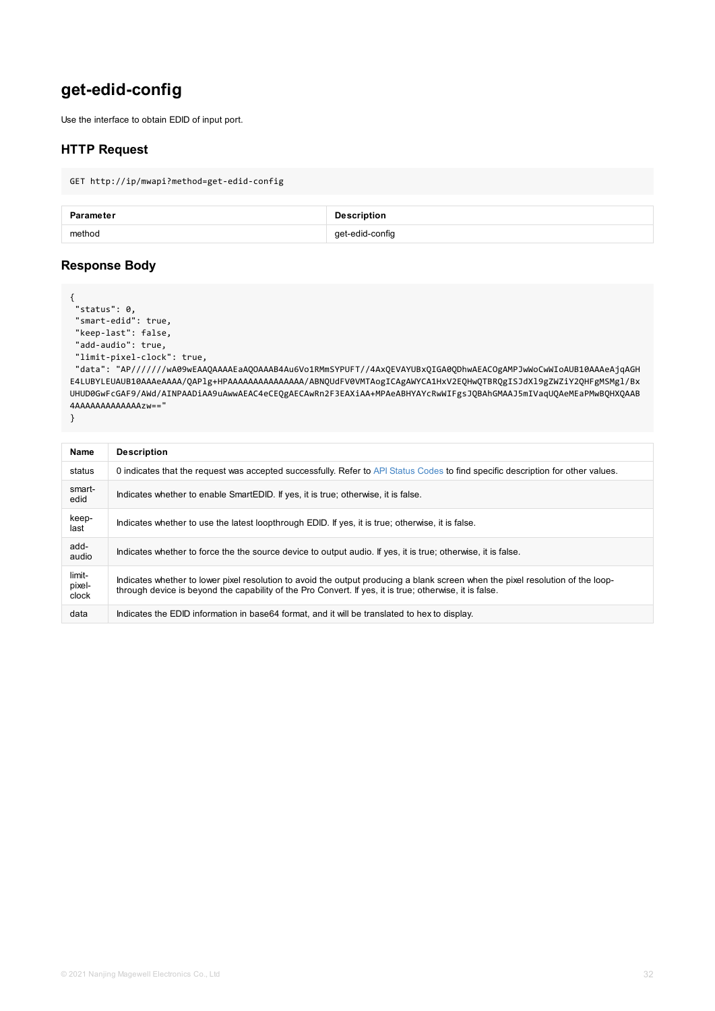```
"add-audio": true,
"limit-pixel-clock": true,
```
"data": "AP//////wA09wEAAQAAAAEaAQOAAAB4Au6Vo1RMmSYPUFT//4AxQEVAYUBxQIGA0QDhwAEACOgAMP E4LUBYLEUAUB10AAAeAAAA/QAPlg+HPAAAAAAAAAAAAAAAA/ABNQUdFV0VMTAogICAgAWYCA1HxV2EQHwQTBRQgIS UHUD0GwFcGAF9/AWd/AINPAADiAA9uAwwAEAC4eCEQgAECAwRn2F3EAXiAA+MPAeABHYAYcRwWIFgsJQBAhGMAAJ 4AAAAAAAAAAAAAzw=="

}

| <b>Name</b>               | <b>Description</b>                                                                                                                                                                                                |
|---------------------------|-------------------------------------------------------------------------------------------------------------------------------------------------------------------------------------------------------------------|
| status                    | 0 indicates that the request was accepted successfully. Refer to API Status Codes to find specific des                                                                                                            |
| smart-<br>edid            | Indicates whether to enable SmartEDID. If yes, it is true; otherwise, it is false.                                                                                                                                |
| keep-<br>last             | Indicates whether to use the latest loopthrough EDID. If yes, it is true; otherwise, it is false.                                                                                                                 |
| add-<br>audio             | Indicates whether to force the the source device to output audio. If yes, it is true; otherwise, it is false,                                                                                                     |
| limit-<br>pixel-<br>clock | Indicates whether to lower pixel resolution to avoid the output producing a blank screen when the pixe<br>through device is beyond the capability of the Pro Convert. If yes, it is true; otherwise, it is false. |
| data                      | Indicates the EDID information in base64 format, and it will be translated to hex to display.                                                                                                                     |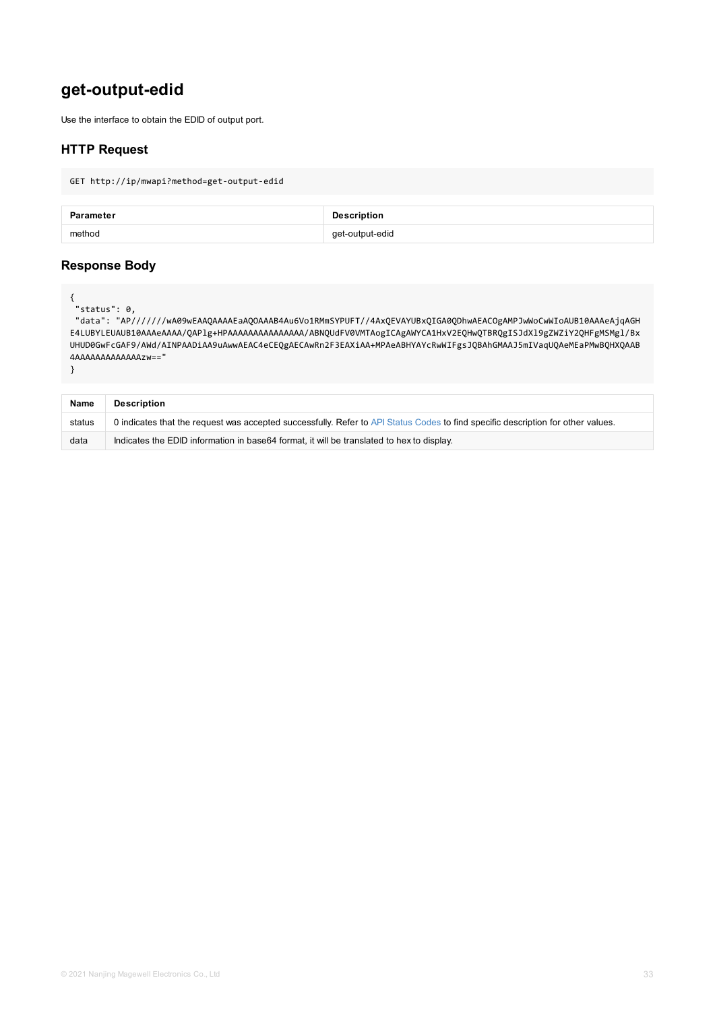```
UHUD0GwFcGAF9/AWd/AINPAADiAA9uAwwAEAC4eCEQgAECAwRn2F3EAXiAA+MPAeABHYAYcRwWIFgsJQBAhGMAAJ
4AAAAAAAAAAAAAzw=="
```

```
}
```

| <b>Name</b> | <b>Description</b>                                                                                      |
|-------------|---------------------------------------------------------------------------------------------------------|
| status      | 0 indicates that the request was accepted successfully. Refer to API Status Codes to find specific desc |
| data        | Indicates the EDID information in base64 format, it will be translated to hex to display.               |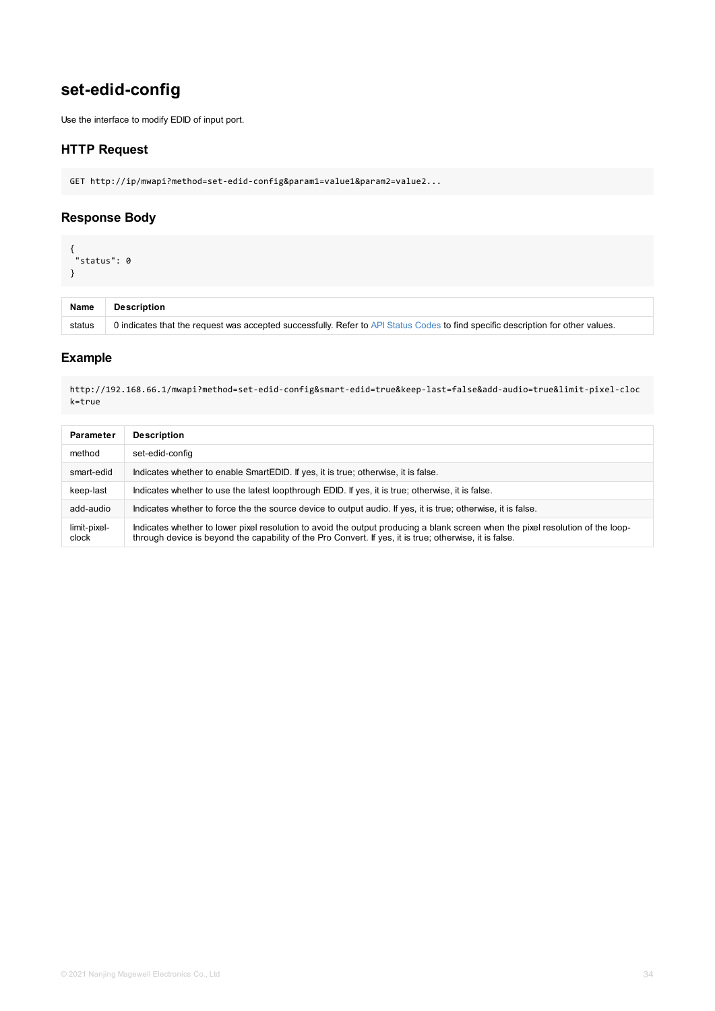http://192.168.66.1/mwapi?method=set-edid-config&smart-edid=true&keep-last=false&add-aud k=true

| <b>Parameter</b>      | <b>Description</b>                                                                                                                                                                                           |
|-----------------------|--------------------------------------------------------------------------------------------------------------------------------------------------------------------------------------------------------------|
| method                | set-edid-config                                                                                                                                                                                              |
| smart-edid            | Indicates whether to enable SmartEDID. If yes, it is true; otherwise, it is false.                                                                                                                           |
| keep-last             | Indicates whether to use the latest loopthrough EDID. If yes, it is true; otherwise, it is false.                                                                                                            |
| add-audio             | Indicates whether to force the the source device to output audio. If yes, it is true; otherwise, it is fa                                                                                                    |
| limit-pixel-<br>clock | Indicates whether to lower pixel resolution to avoid the output producing a blank screen when the<br>through device is beyond the capability of the Pro Convert. If yes, it is true; otherwise, it is false. |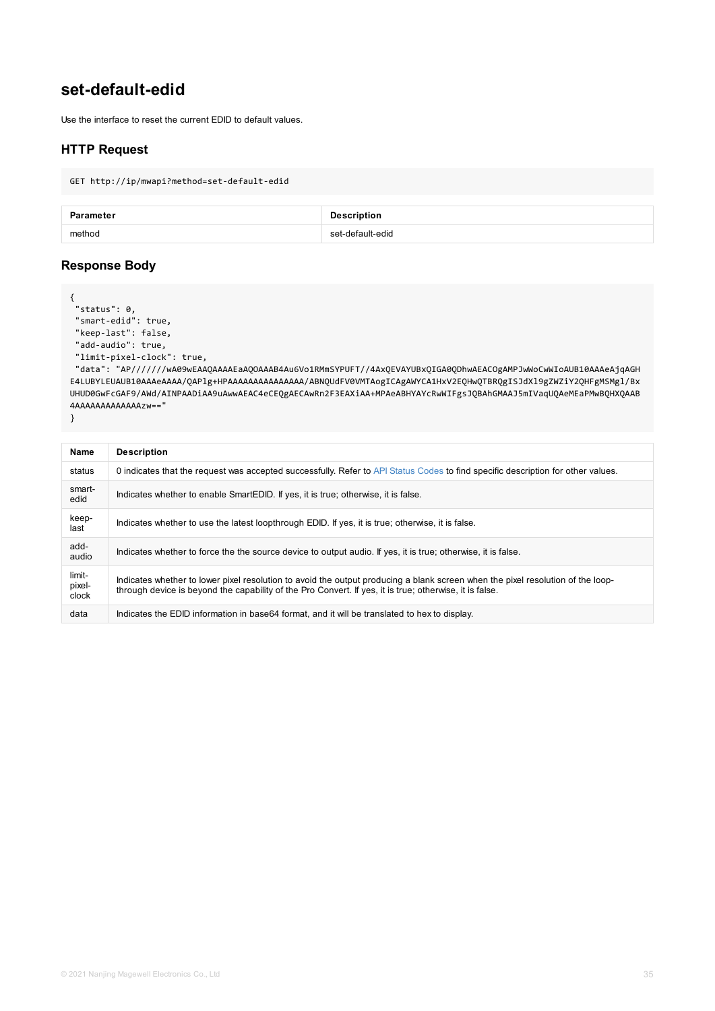```
"add-audio": true,
"limit-pixel-clock": true,
```
"data": "AP//////wA09wEAAQAAAAEaAQOAAAB4Au6Vo1RMmSYPUFT//4AxQEVAYUBxQIGA0QDhwAEACOgAMP E4LUBYLEUAUB10AAAeAAAA/QAPlg+HPAAAAAAAAAAAAAAAA/ABNQUdFV0VMTAogICAgAWYCA1HxV2EQHwQTBRQgIS UHUD0GwFcGAF9/AWd/AINPAADiAA9uAwwAEAC4eCEQgAECAwRn2F3EAXiAA+MPAeABHYAYcRwWIFgsJQBAhGMAAJ 4AAAAAAAAAAAAAzw=="

}

| <b>Name</b>               | <b>Description</b>                                                                                                                                                                                                |
|---------------------------|-------------------------------------------------------------------------------------------------------------------------------------------------------------------------------------------------------------------|
| status                    | 0 indicates that the request was accepted successfully. Refer to API Status Codes to find specific des                                                                                                            |
| smart-<br>edid            | Indicates whether to enable SmartEDID. If yes, it is true; otherwise, it is false.                                                                                                                                |
| keep-<br>last             | Indicates whether to use the latest loopthrough EDID. If yes, it is true; otherwise, it is false.                                                                                                                 |
| add-<br>audio             | Indicates whether to force the the source device to output audio. If yes, it is true; otherwise, it is false,                                                                                                     |
| limit-<br>pixel-<br>clock | Indicates whether to lower pixel resolution to avoid the output producing a blank screen when the pixe<br>through device is beyond the capability of the Pro Convert. If yes, it is true; otherwise, it is false. |
| data                      | Indicates the EDID information in base64 format, and it will be translated to hex to display.                                                                                                                     |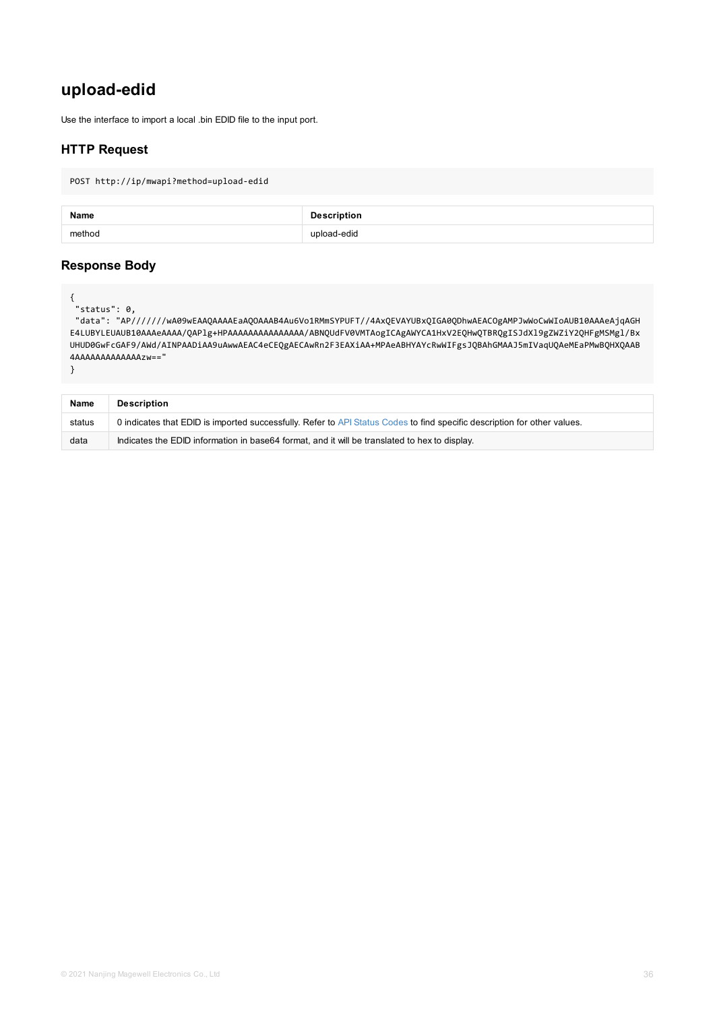```
UHUD0GwFcGAF9/AWd/AINPAADiAA9uAwwAEAC4eCEQgAECAwRn2F3EAXiAA+MPAeABHYAYcRwWIFgsJQBAhGMAAJ
4AAAAAAAAAAAAAzw=="
```

```
}
```

| <b>Name</b> | <b>Description</b>                                                                                       |
|-------------|----------------------------------------------------------------------------------------------------------|
| status      | 0 indicates that EDID is imported successfully. Refer to API Status Codes to find specific description f |
| data        | Indicates the EDID information in base64 format, and it will be translated to hex to display.            |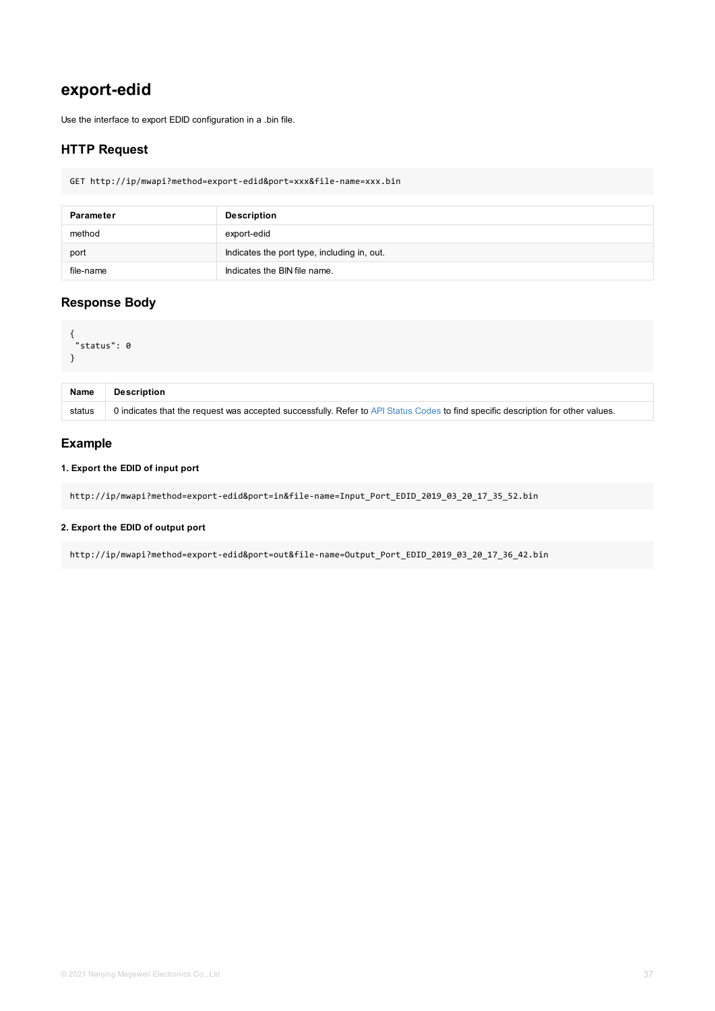```
\sim"status": 0
}
```

| <b>Name</b> | <b>Description</b>                                                                                      |
|-------------|---------------------------------------------------------------------------------------------------------|
| status      | 0 indicates that the request was accepted successfully. Refer to API Status Codes to find specific desc |

### **1. Export the EDID of input port**

http://ip/mwapi?method=export-edid&port=in&file-name=Input\_Port\_EDID\_2019\_03\_20\_17\_35\_52

### **2. Export the EDID of output port**

http://ip/mwapi?method=export-edid&port=out&file-name=Output\_Port\_EDID\_2019\_03\_20\_17\_36\_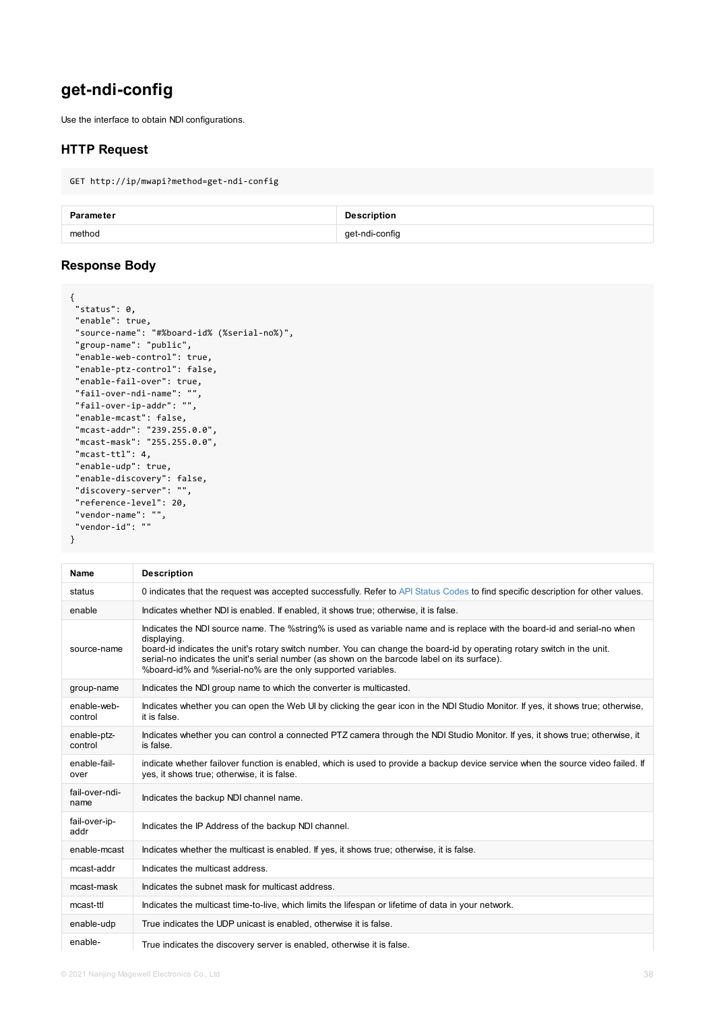```
"group-name": "public",
 "enable-web-control": true,
 "enable-ptz-control": false,
 "enable-fail-over": true,
 "fail-over-ndi-name": "",
 "fail-over-ip-addr": "",
 "enable-mcast": false,
 "mcast-addr": "239.255.0.0",
 "mcast-mask": "255.255.0.0",
 "mcast-ttl": 4,
 "enable-udp": true,
 "enable-discovery": false,
 "discovery-server": "",
 "reference-level": 20,
 "vendor-name": "",
"vendor-id": ""
}
```

| <b>Name</b>            | <b>Description</b>                                                                                                                                                                                                                                                                                                                                                             |  |
|------------------------|--------------------------------------------------------------------------------------------------------------------------------------------------------------------------------------------------------------------------------------------------------------------------------------------------------------------------------------------------------------------------------|--|
| status                 | 0 indicates that the request was accepted successfully. Refer to API Status Codes to find speci                                                                                                                                                                                                                                                                                |  |
| enable                 | Indicates whether NDI is enabled. If enabled, it shows true; otherwise, it is false.                                                                                                                                                                                                                                                                                           |  |
| source-name            | Indicates the NDI source name. The %string% is used as variable name and is replace with the<br>displaying.<br>board-id indicates the unit's rotary switch number. You can change the board-id by operating re<br>serial-no indicates the unit's serial number (as shown on the barcode label on its surface).<br>%board-id% and %serial-no% are the only supported variables. |  |
| group-name             | Indicates the NDI group name to which the converter is multicasted.                                                                                                                                                                                                                                                                                                            |  |
| enable-web-<br>control | Indicates whether you can open the Web UI by clicking the gear icon in the NDI Studio Monitor.<br>it is false.                                                                                                                                                                                                                                                                 |  |
| enable-ptz-<br>control | Indicates whether you can control a connected PTZ camera through the NDI Studio Monitor. If y<br>is false.                                                                                                                                                                                                                                                                     |  |
| enable-fail-<br>over   | indicate whether failover function is enabled, which is used to provide a backup device service<br>yes, it shows true; otherwise, it is false.                                                                                                                                                                                                                                 |  |
| fail-over-ndi-<br>name | Indicates the backup NDI channel name.                                                                                                                                                                                                                                                                                                                                         |  |
| fail-over-ip-<br>addr  | Indicates the IP Address of the backup NDI channel.                                                                                                                                                                                                                                                                                                                            |  |
| enable-mcast           | Indicates whether the multicast is enabled. If yes, it shows true; otherwise, it is false.                                                                                                                                                                                                                                                                                     |  |
| mcast-addr             | Indicates the multicast address.                                                                                                                                                                                                                                                                                                                                               |  |
| mcast-mask             | Indicates the subnet mask for multicast address.                                                                                                                                                                                                                                                                                                                               |  |
| mcast-ttl              | Indicates the multicast time-to-live, which limits the lifespan or lifetime of data in your network.                                                                                                                                                                                                                                                                           |  |
| enable-udp             | True indicates the UDP unicast is enabled, otherwise it is false.                                                                                                                                                                                                                                                                                                              |  |
| enable-                | True indicates the discovery server is enabled, otherwise it is false.                                                                                                                                                                                                                                                                                                         |  |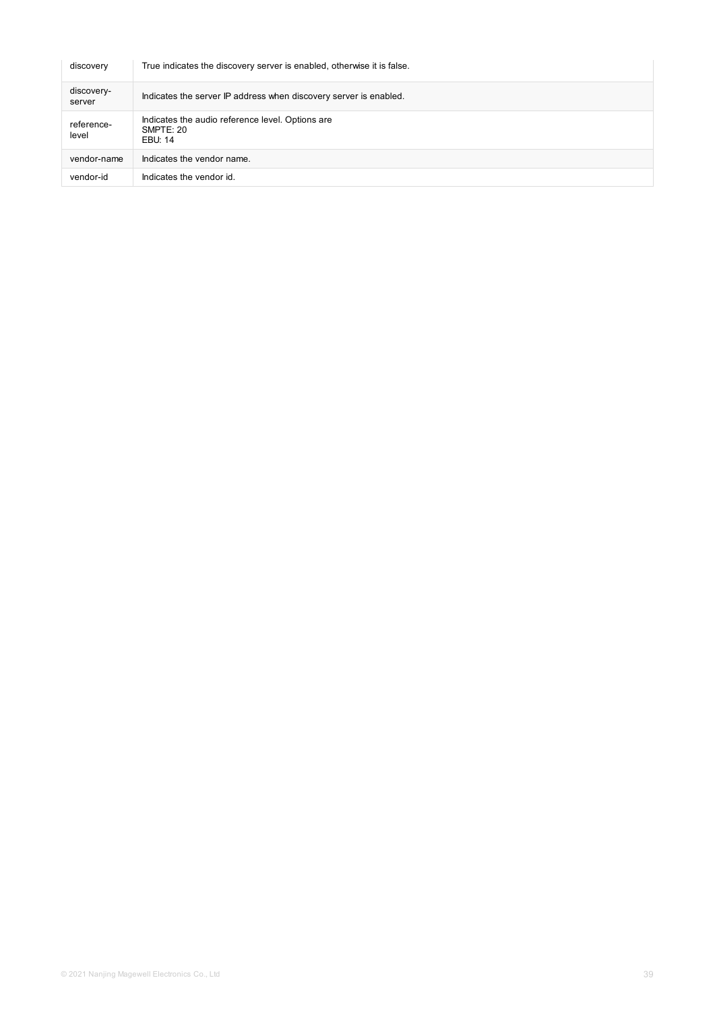| discovery            | True indicates the discovery server is enabled, otherwise it is false.   |
|----------------------|--------------------------------------------------------------------------|
| discovery-<br>server | Indicates the server IP address when discovery server is enabled.        |
| reference-<br>level  | Indicates the audio reference level. Options are<br>SMPTE: 20<br>EBU: 14 |
| vendor-name          | Indicates the vendor name.                                               |
| vendor-id            | Indicates the vendor id.                                                 |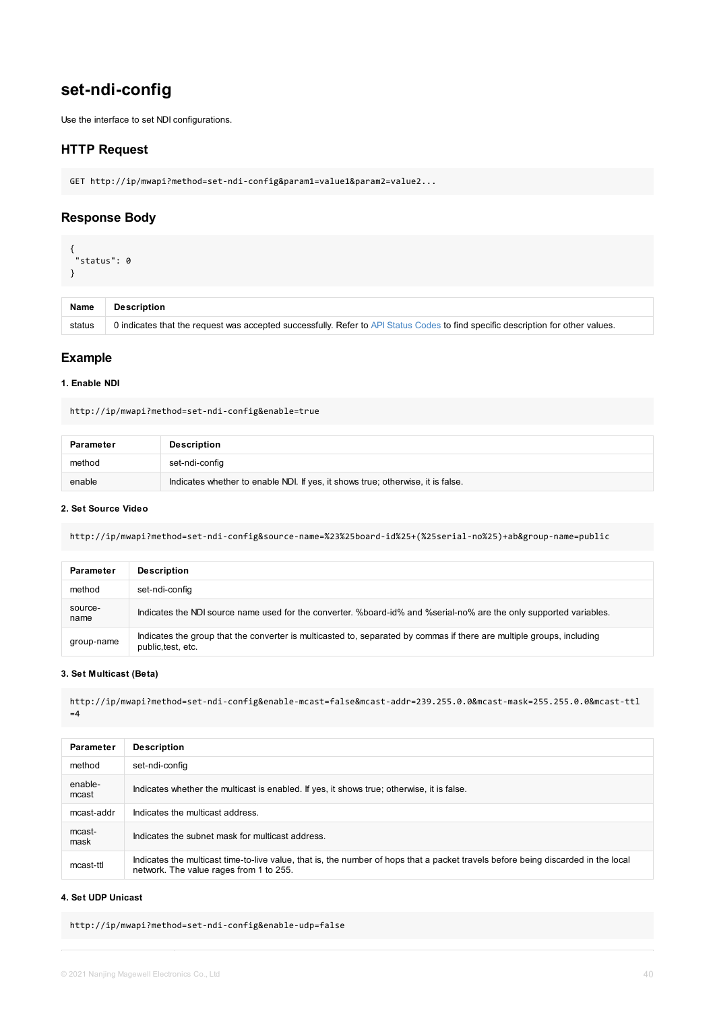#### <span id="page-39-0"></span>**1. Enable NDI**

http://ip/mwapi?method=set-ndi-config&enable=true

| <b>Parameter</b> | <b>Description</b>                                                              |
|------------------|---------------------------------------------------------------------------------|
| method           | set-ndi-config                                                                  |
| enable           | Indicates whether to enable NDI. If yes, it shows true; otherwise, it is false. |

#### **2. Set Source Video**

http://ip/mwapi?method=set-ndi-config&source-name=%23%25board-id%25+(%25serial-no%25)+ab

| <b>Parameter</b> | <b>Description</b>                                                                                                      |
|------------------|-------------------------------------------------------------------------------------------------------------------------|
| method           | set-ndi-config                                                                                                          |
| source-<br>name  | Indicates the NDI source name used for the converter. %board-id% and %serial-no% are the on                             |
| group-name       | Indicates the group that the converter is multicasted to, separated by commas if there are multip<br>public, test, etc. |

#### **3. Set Multicast (Beta)**

http://ip/mwapi?method=set-ndi-config&enable-mcast=false&mcast-addr=239.255.0.0&mcast-ma  $=4$ 

|                  | <b>Parameter</b> | <b>Description</b>                                                                                                                              |
|------------------|------------------|-------------------------------------------------------------------------------------------------------------------------------------------------|
| method           |                  | set-ndi-config                                                                                                                                  |
| enable-<br>mcast |                  | Indicates whether the multicast is enabled. If yes, it shows true; otherwise, it is false.                                                      |
|                  | mcast-addr       | Indicates the multicast address.                                                                                                                |
| mcast-<br>mask   |                  | Indicates the subnet mask for multicast address.                                                                                                |
| mcast-ttl        |                  | Indicates the multicast time-to-live value, that is, the number of hops that a packet travels before<br>network. The value rages from 1 to 255. |

#### **4. Set UDP Unicast**

http://ip/mwapi?method=set-ndi-config&enable-udp=false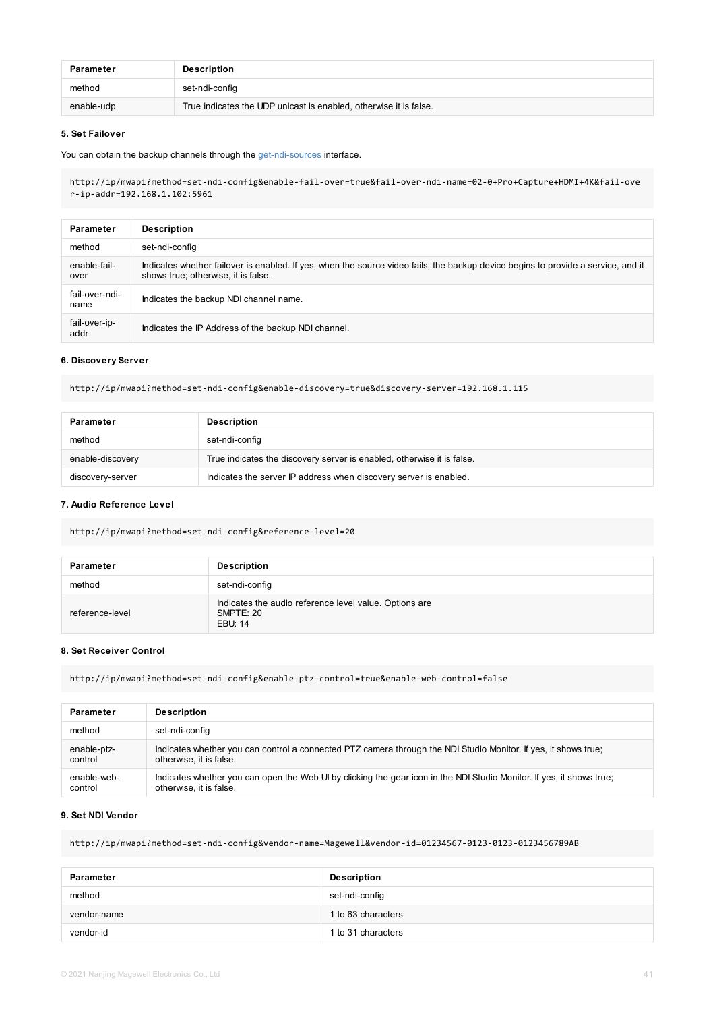#### **6. Discovery Server**

http://ip/mwapi?method=set-ndi-config&enable-discovery=true&discovery-server=192.168.1.11

| <b>Parameter</b> | <b>Description</b>                                                     |
|------------------|------------------------------------------------------------------------|
| method           | set-ndi-config                                                         |
| enable-discovery | True indicates the discovery server is enabled, otherwise it is false. |
| discovery-server | Indicates the server IP address when discovery server is enabled.      |

#### **7. Audio Reference Level**

http://ip/mwapi?method=set-ndi-config&reference-level=20

| <b>Parameter</b> | <b>Description</b>                                                             |
|------------------|--------------------------------------------------------------------------------|
| method           | set-ndi-config                                                                 |
| reference-level  | Indicates the audio reference level value. Options are<br>SMPTE: 20<br>EBU: 14 |

#### **8. Set Receiver Control**

http://ip/mwapi?method=set-ndi-config&enable-ptz-control=true&enable-web-control=false

| <b>Parameter</b> | <b>Description</b>                                                                         |
|------------------|--------------------------------------------------------------------------------------------|
| method           | set-ndi-config                                                                             |
| enable-ptz-      | Indicates whether you can control a connected PTZ camera through the NDI Studio Monitor    |
| control          | otherwise, it is false.                                                                    |
| enable-web-      | Indicates whether you can open the Web UI by clicking the gear icon in the NDI Studio Moni |
| control          | otherwise, it is false.                                                                    |

#### **9. Set NDI Vendor**

http://ip/mwapi?method=set-ndi-config&vendor-name=Magewell&vendor-id=01234567-0123-0123-

| Parameter   | <b>Description</b> |
|-------------|--------------------|
| method      | set-ndi-config     |
| vendor-name | 1 to 63 characters |
| vendor-id   | 1 to 31 characters |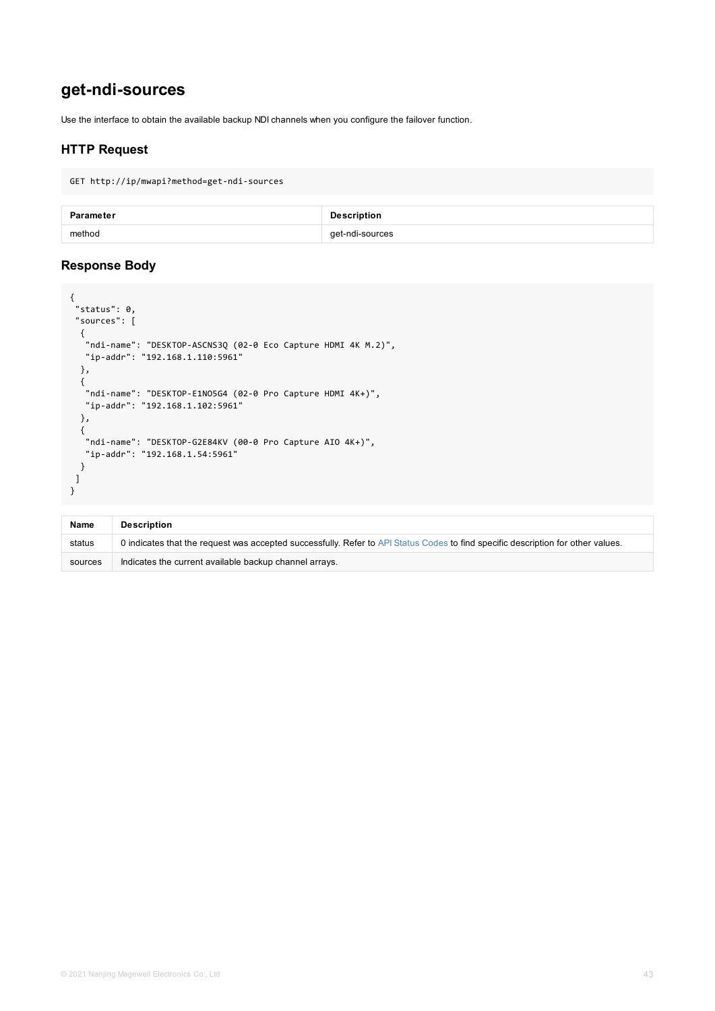```
"ndi-name": "DESKTOP-ASCNS3Q (02-0 Eco Capture HDMI 4K M.2)",
  "ip-addr": "192.168.1.110:5961"
  },
  {
  "ndi-name": "DESKTOP-E1NO5G4 (02-0 Pro Capture HDMI 4K+)",
  "ip-addr": "192.168.1.102:5961"
  },
  {
   "ndi-name": "DESKTOP-G2E84KV (00-0 Pro Capture AIO 4K+)",
  "ip-addr": "192.168.1.54:5961"
 }
]
}
```

| <b>Name</b> | <b>Description</b>                                                                                    |
|-------------|-------------------------------------------------------------------------------------------------------|
| status      | 0 indicates that the request was accepted successfully. Refer to API Status Codes to find specific de |
| sources     | Indicates the current available backup channel arrays.                                                |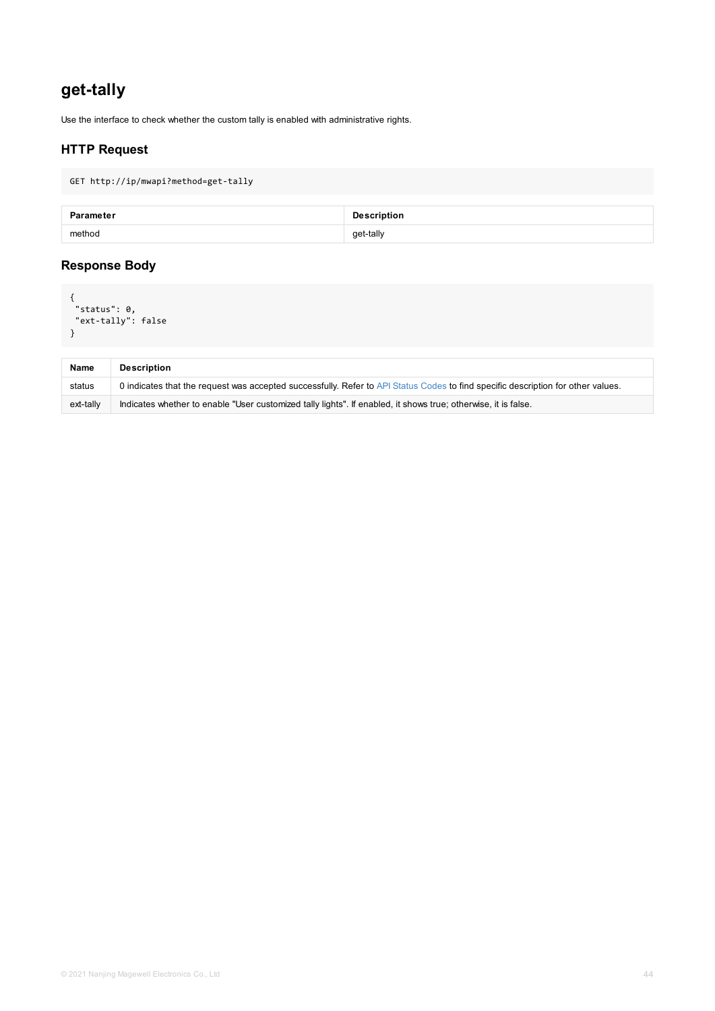<span id="page-43-0"></span>

| <b>Name</b> | <b>Description</b>                                                                                          |
|-------------|-------------------------------------------------------------------------------------------------------------|
| status      | 0 indicates that the request was accepted successfully. Refer to API Status Codes to find specific de       |
| ext-tally   | Indicates whether to enable "User customized tally lights". If enabled, it shows true; otherwise, it is fal |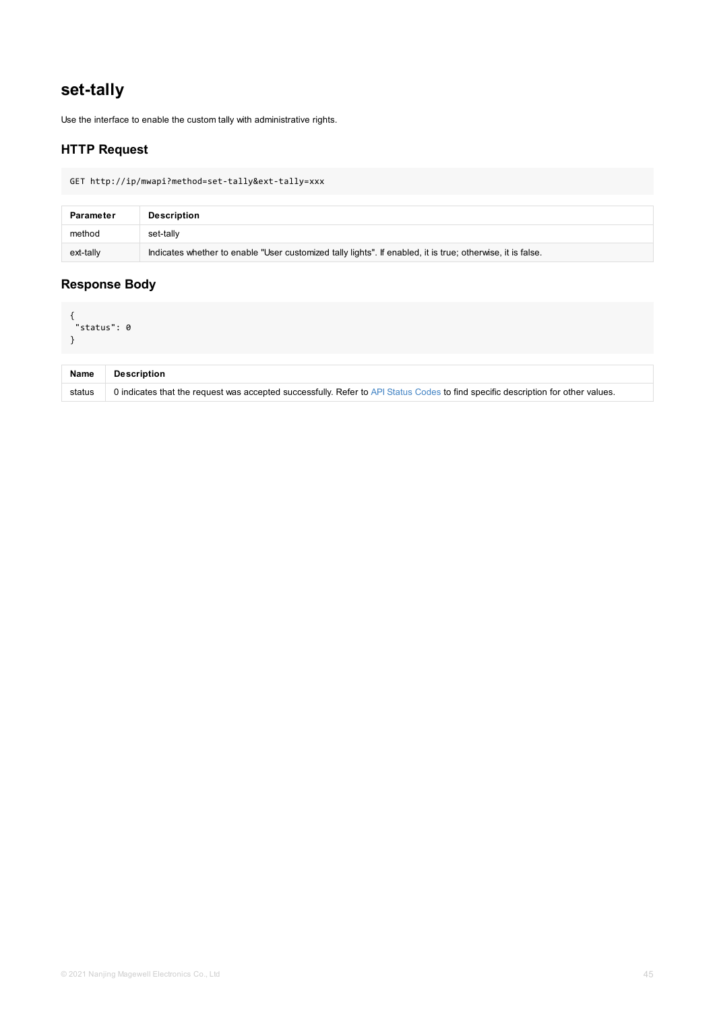<span id="page-44-0"></span>

| <b>Name</b> | <b>Description</b>                                                                                      |
|-------------|---------------------------------------------------------------------------------------------------------|
| status      | 0 indicates that the request was accepted successfully. Refer to API Status Codes to find specific desc |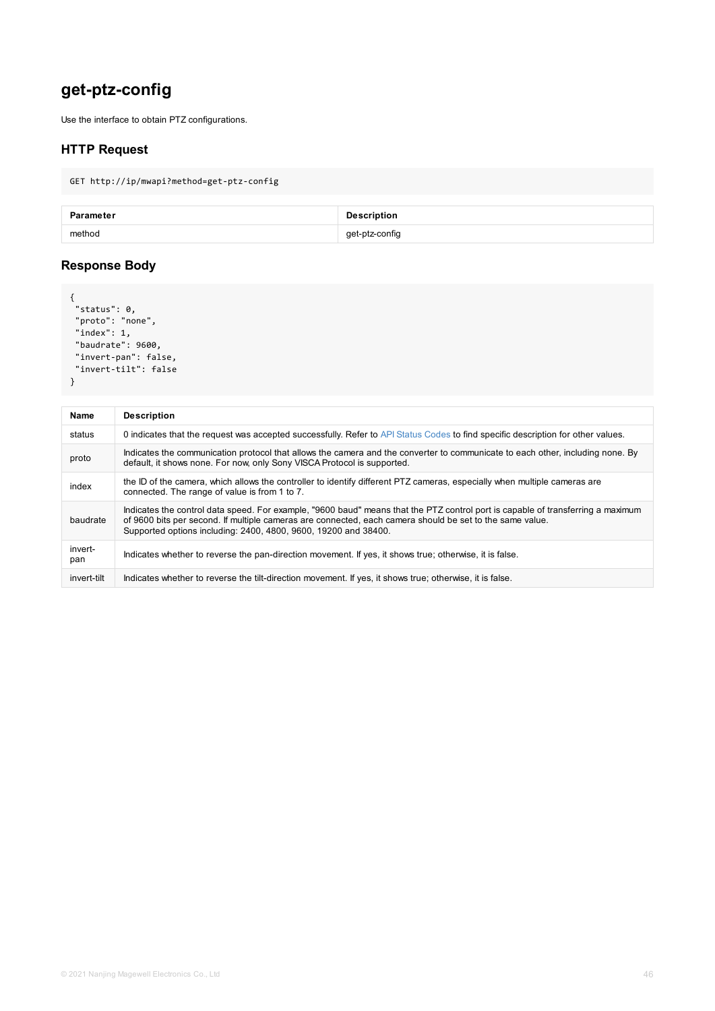```
"baudrate": 9600,
"invert-pan": false,
"invert-tilt": false
}
```

| <b>Name</b>    | <b>Description</b>                                                                                                                                                                                                                                                         |
|----------------|----------------------------------------------------------------------------------------------------------------------------------------------------------------------------------------------------------------------------------------------------------------------------|
| status         | 0 indicates that the request was accepted successfully. Refer to API Status Codes to find specific do                                                                                                                                                                      |
| proto          | Indicates the communication protocol that allows the camera and the converter to communicate to e<br>default, it shows none. For now, only Sony VISCA Protocol is supported.                                                                                               |
| index          | the ID of the camera, which allows the controller to identify different PTZ cameras, especially when a<br>connected. The range of value is from 1 to 7.                                                                                                                    |
| baudrate       | Indicates the control data speed. For example, "9600 baud" means that the PTZ control port is capa<br>of 9600 bits per second. If multiple cameras are connected, each camera should be set to the same<br>Supported options including: 2400, 4800, 9600, 19200 and 38400. |
| invert-<br>pan | Indicates whether to reverse the pan-direction movement. If yes, it shows true; otherwise, it is false.                                                                                                                                                                    |
| invert-tilt    | Indicates whether to reverse the tilt-direction movement. If yes, it shows true; otherwise, it is false.                                                                                                                                                                   |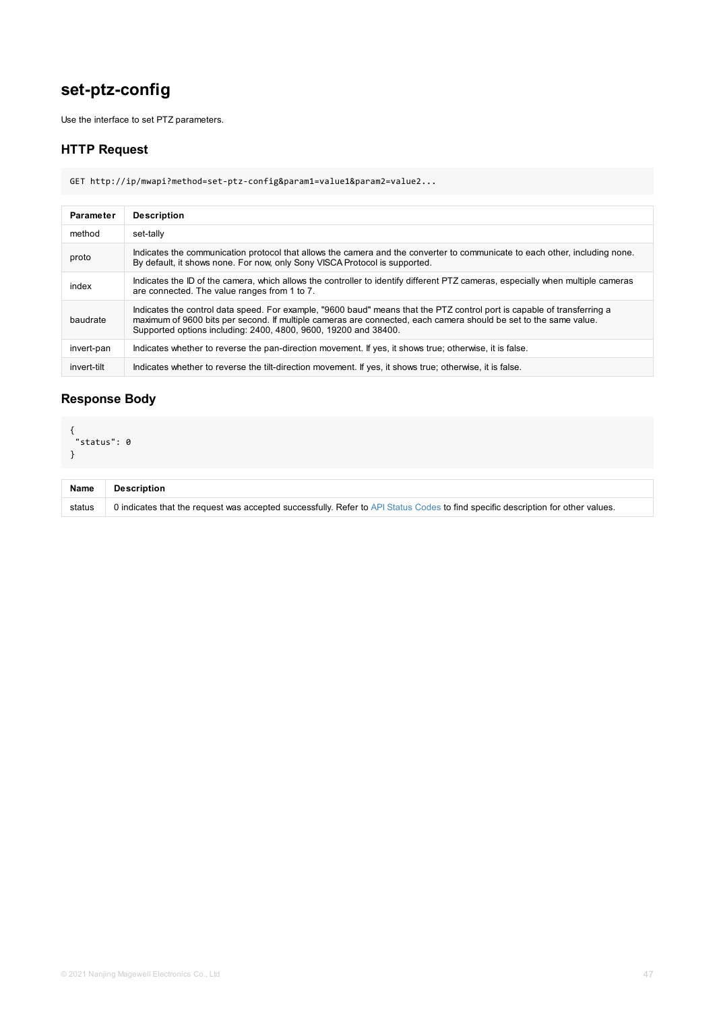<span id="page-46-0"></span>

| invert-pan  | Indicates whether to reverse the pan-direction movement. If yes, it shows true; otherwise, it is fals   |
|-------------|---------------------------------------------------------------------------------------------------------|
| invert-tilt | Indicates whether to reverse the tilt-direction movement. If yes, it shows true; otherwise, it is false |

## **Response Body**

```
{
"status": 0
}
```

| <b>Name</b> | <b>Description</b>                                                                                      |
|-------------|---------------------------------------------------------------------------------------------------------|
| status      | 0 indicates that the request was accepted successfully. Refer to API Status Codes to find specific deso |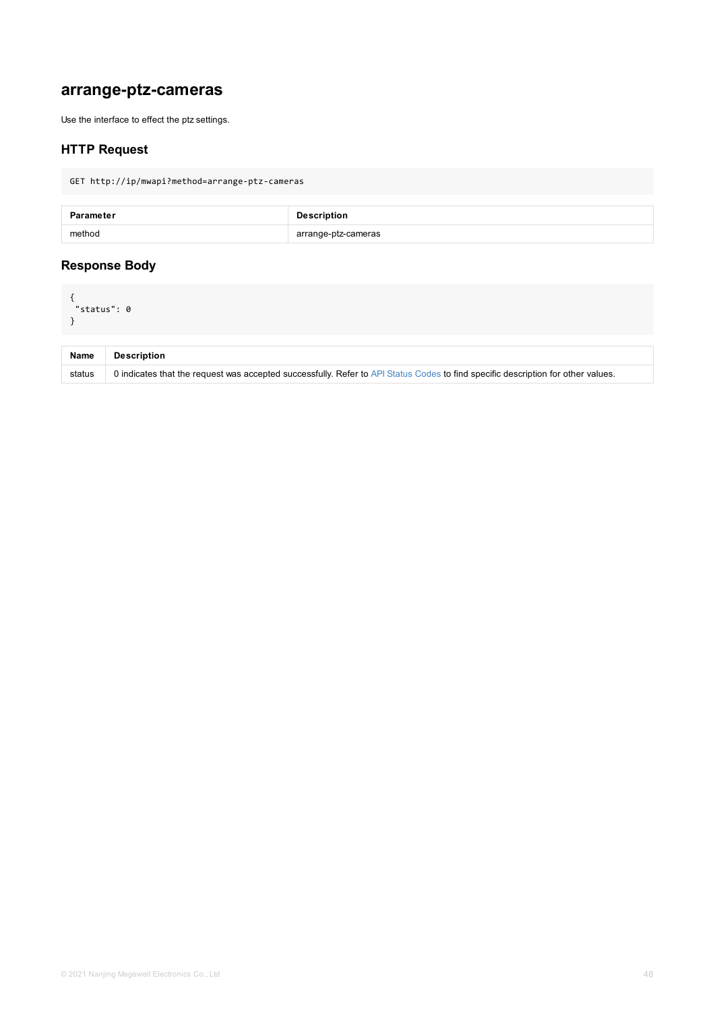<span id="page-47-0"></span>

| <b>Name</b> | <b>Description</b>                                                                                      |
|-------------|---------------------------------------------------------------------------------------------------------|
| status      | 0 indicates that the request was accepted successfully. Refer to API Status Codes to find specific desc |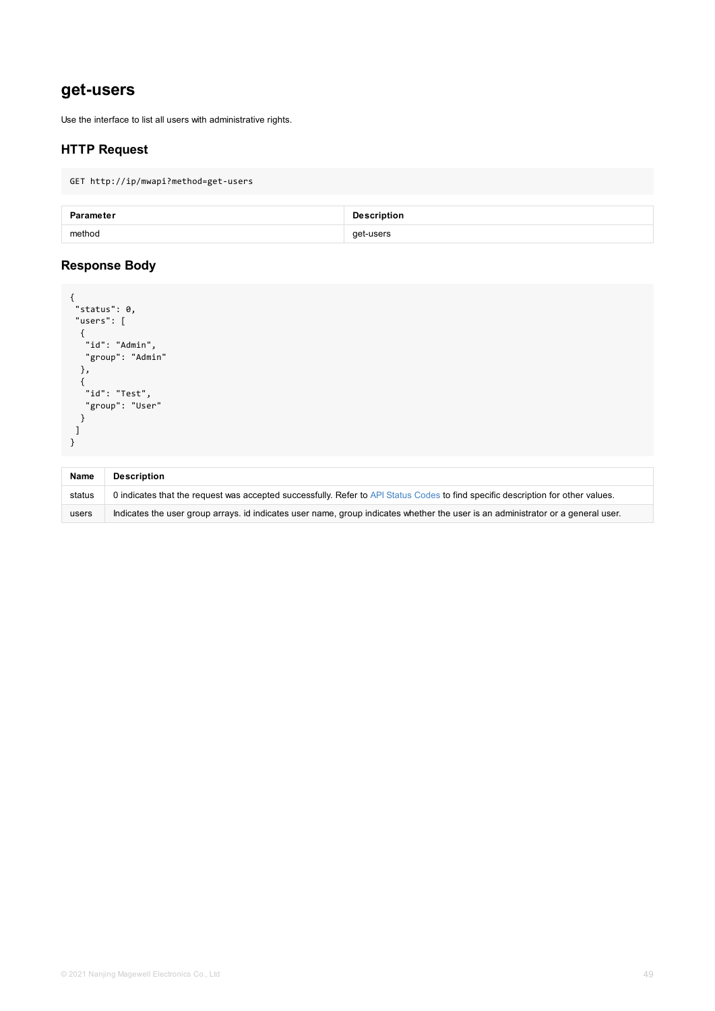```
"id": "Admin",
  "group": "Admin"
 },
 {
  "id": "Test",
 "group": "User"
 }
]
}
```

| <b>Name</b> | <b>Description</b>                                                                                      |
|-------------|---------------------------------------------------------------------------------------------------------|
| status      | 0 indicates that the request was accepted successfully. Refer to API Status Codes to find specific desc |
| users       | Indicates the user group arrays. id indicates user name, group indicates whether the user is an admin   |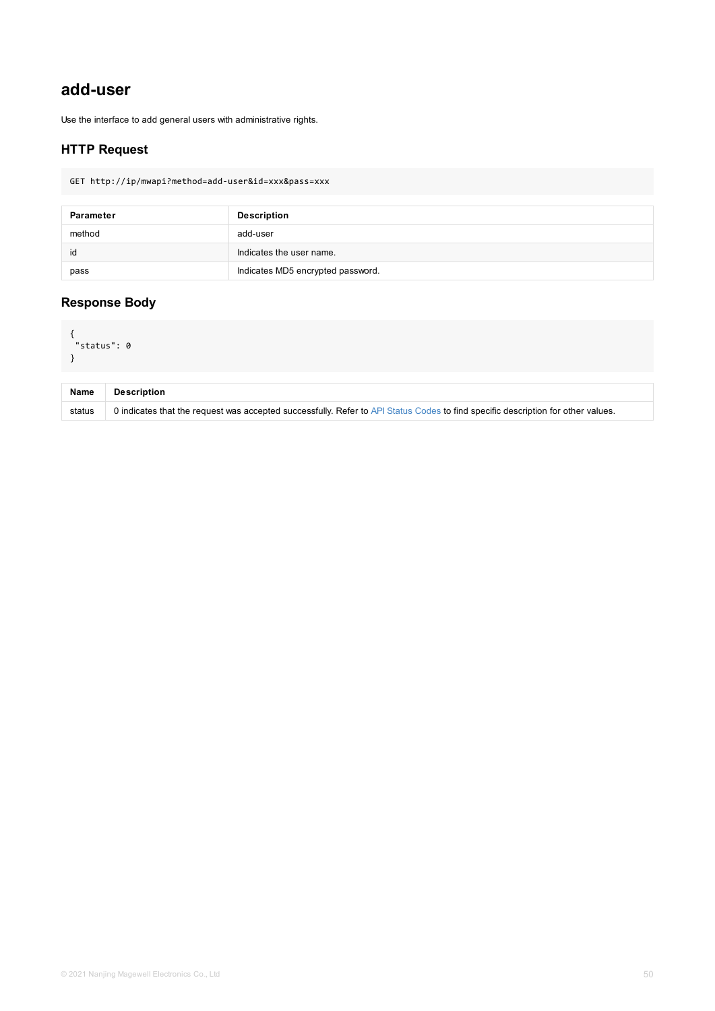```
\sim"status": 0
}
```

| <b>Name</b> | <b>Description</b>                                                                                      |
|-------------|---------------------------------------------------------------------------------------------------------|
| status      | 0 indicates that the request was accepted successfully. Refer to API Status Codes to find specific desc |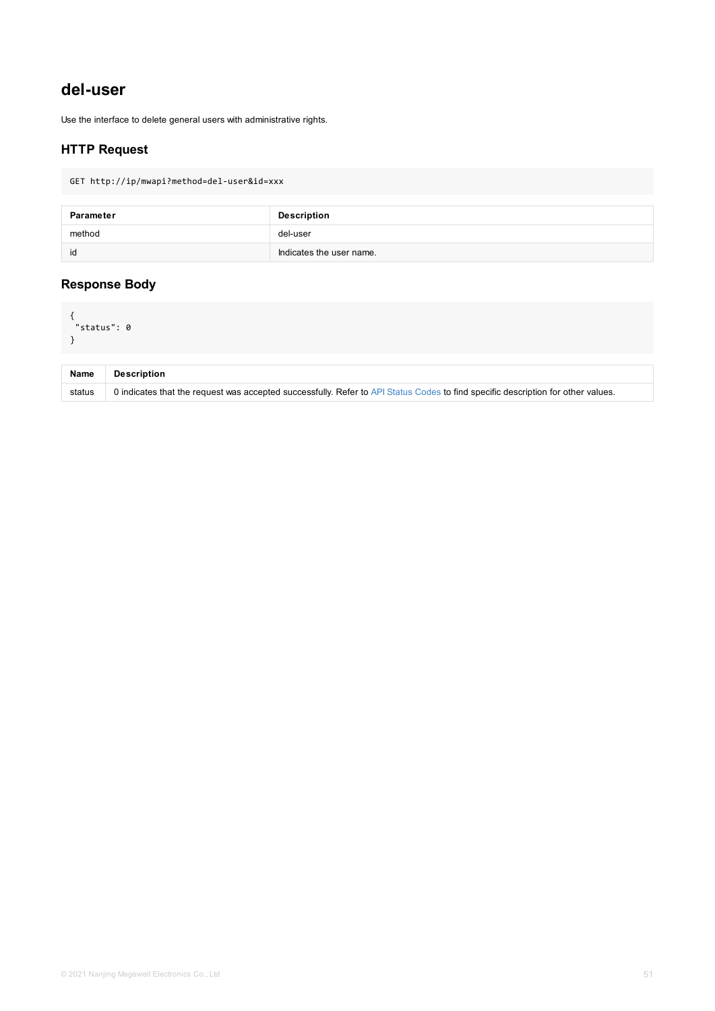<span id="page-50-0"></span>

| <b>Name</b> | <b>Description</b>                                                                                      |
|-------------|---------------------------------------------------------------------------------------------------------|
| status      | 0 indicates that the request was accepted successfully. Refer to API Status Codes to find specific desc |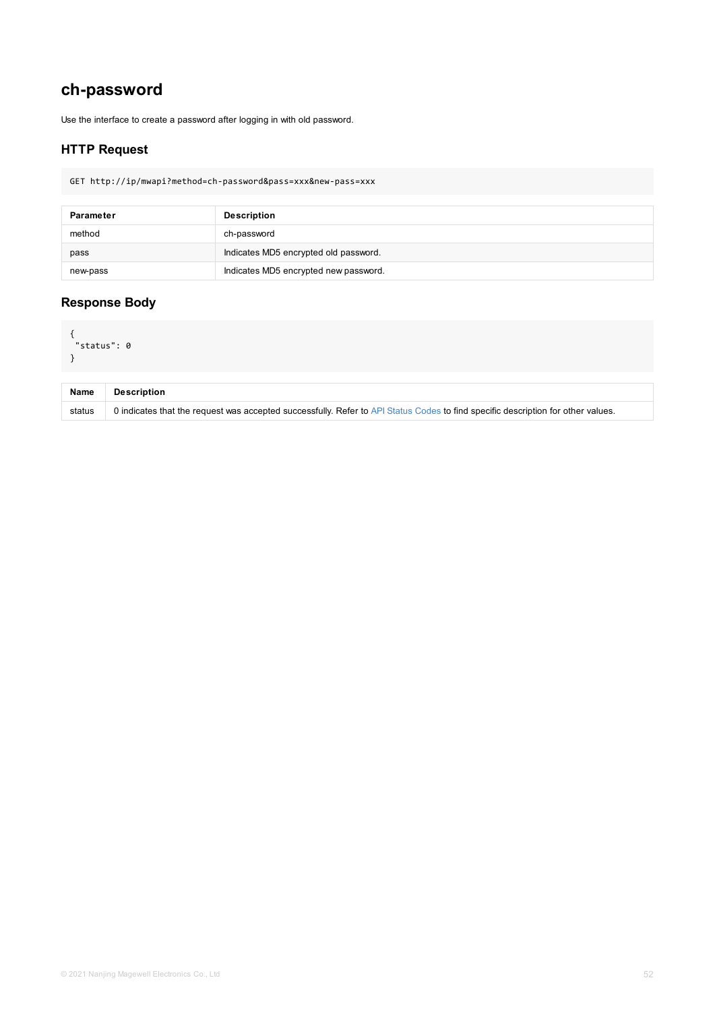```
\sim"status": 0
}
```

| <b>Name</b> | <b>Description</b>                                                                                      |
|-------------|---------------------------------------------------------------------------------------------------------|
| status      | 0 indicates that the request was accepted successfully. Refer to API Status Codes to find specific desc |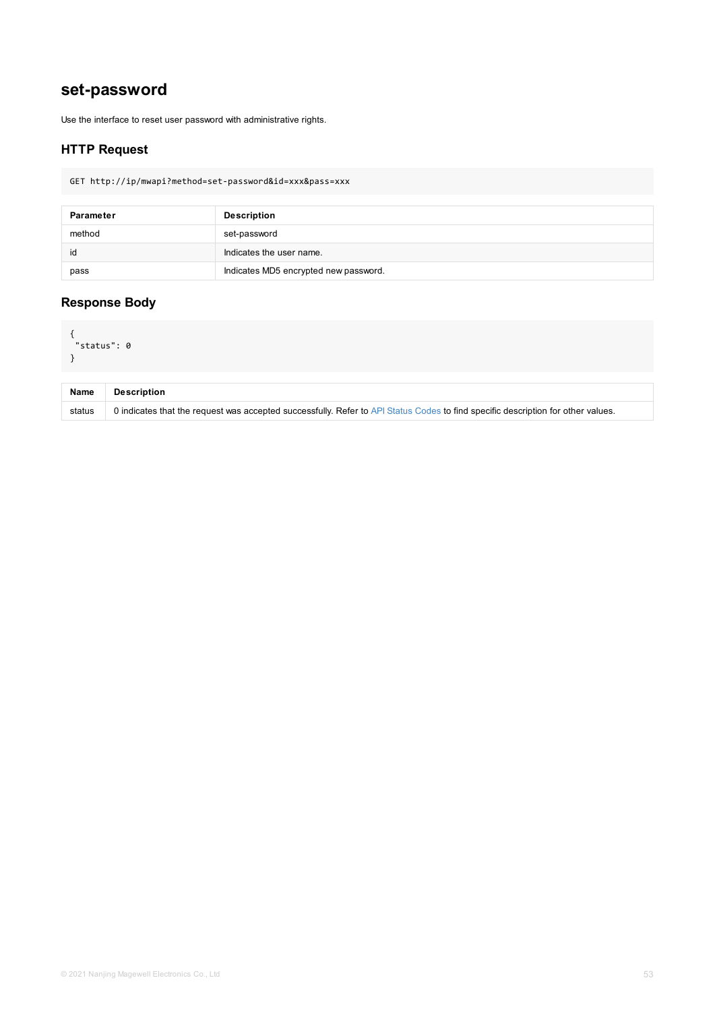```
\sim"status": 0
}
```

| <b>Name</b> | <b>Description</b>                                                                                      |
|-------------|---------------------------------------------------------------------------------------------------------|
| status      | 0 indicates that the request was accepted successfully. Refer to API Status Codes to find specific desc |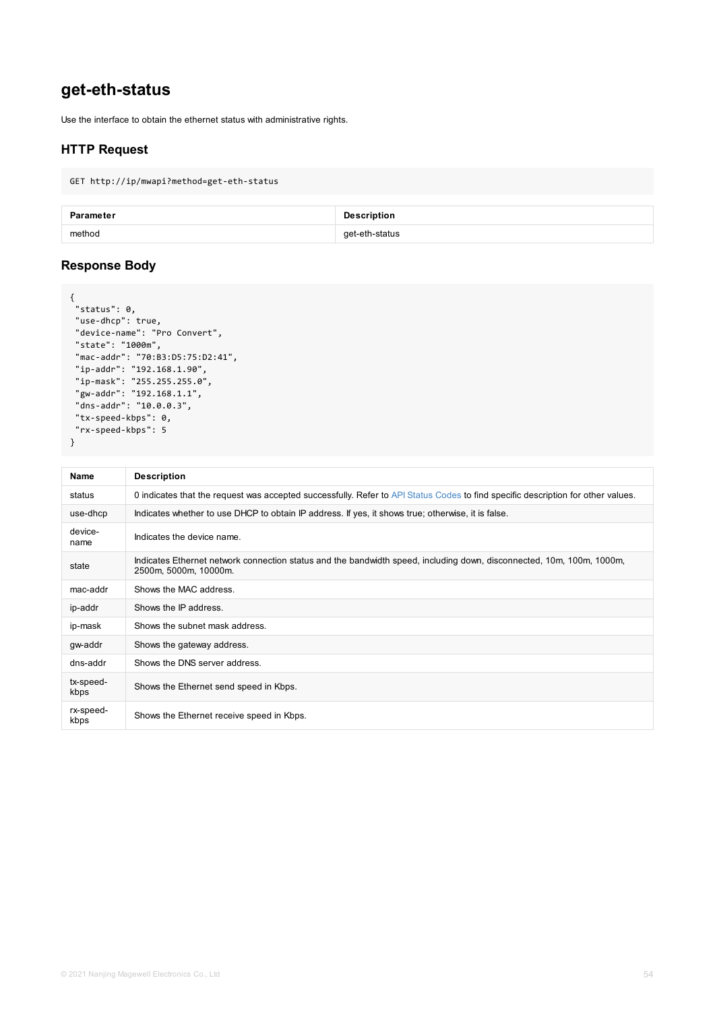```
"state": "1000m",
"mac-addr": "70:B3:D5:75:D2:41",
"ip-addr": "192.168.1.90",
"ip-mask": "255.255.255.0",
"gw-addr": "192.168.1.1",
"dns-addr": "10.0.0.3",
"tx-speed-kbps": 0,
"rx-speed-kbps": 5
}
```

| <b>Name</b>       | <b>Description</b>                                                                                                       |
|-------------------|--------------------------------------------------------------------------------------------------------------------------|
| status            | 0 indicates that the request was accepted successfully. Refer to API Status Codes to find specific                       |
| use-dhcp          | Indicates whether to use DHCP to obtain IP address. If yes, it shows true; otherwise, it is false.                       |
| device-<br>name   | Indicates the device name.                                                                                               |
| state             | Indicates Ethernet network connection status and the bandwidth speed, including down, disconner<br>2500m, 5000m, 10000m. |
| mac-addr          | Shows the MAC address.                                                                                                   |
| ip-addr           | Shows the IP address.                                                                                                    |
| ip-mask           | Shows the subnet mask address.                                                                                           |
| gw-addr           | Shows the gateway address.                                                                                               |
| dns-addr          | Shows the DNS server address.                                                                                            |
| tx-speed-<br>kbps | Shows the Ethernet send speed in Kbps.                                                                                   |
| rx-speed-<br>kbps | Shows the Ethernet receive speed in Kbps.                                                                                |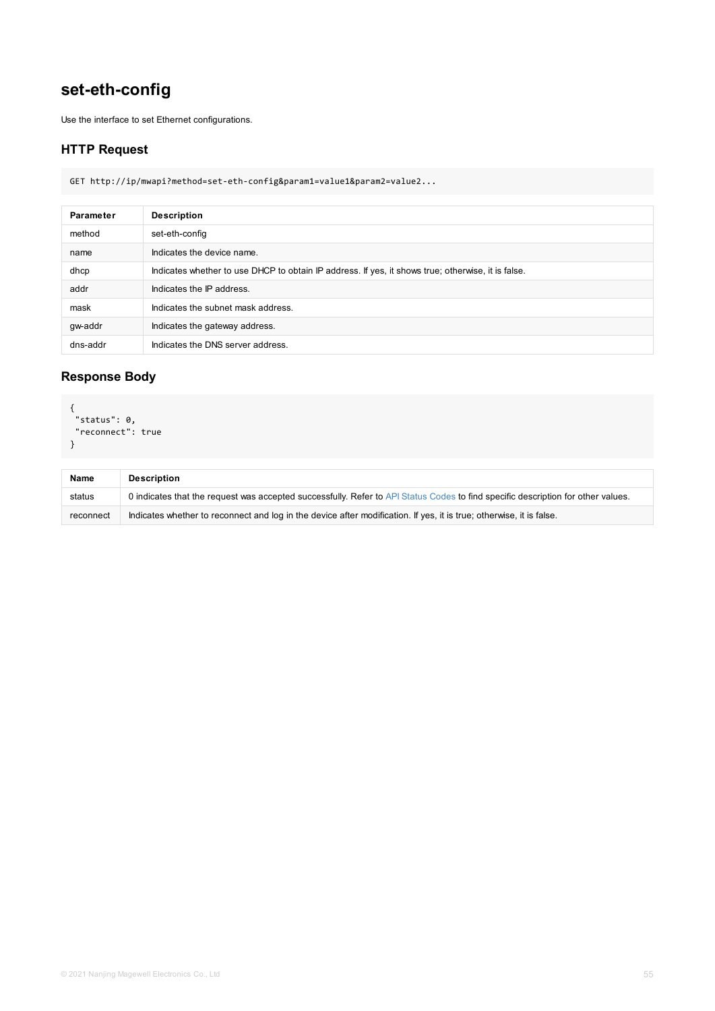### **Response Body**

```
{
"status": 0,
"reconnect": true
}
```

| <b>Name</b> | <b>Description</b>                                                                                      |
|-------------|---------------------------------------------------------------------------------------------------------|
| status      | 0 indicates that the request was accepted successfully. Refer to API Status Codes to find specific      |
| reconnect   | Indicates whether to reconnect and log in the device after modification. If yes, it is true; otherwise, |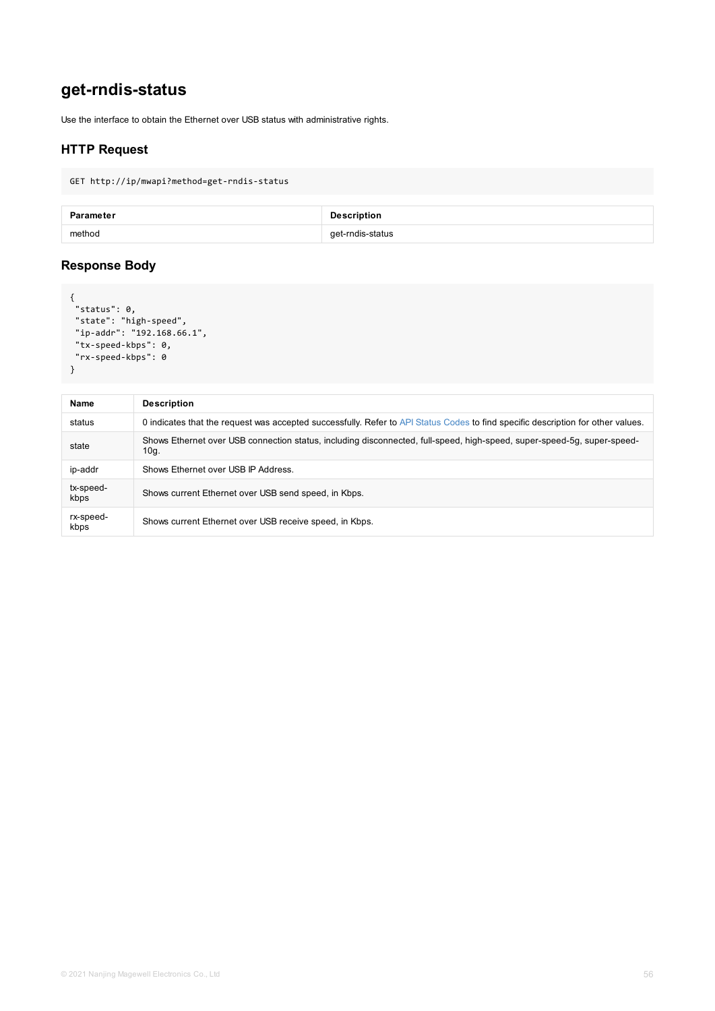```
"tx-speed-kbps": 0,
 "rx-speed-kbps": 0
}
```

| <b>Name</b>       | <b>Description</b>                                                                                   |
|-------------------|------------------------------------------------------------------------------------------------------|
| status            | 0 indicates that the request was accepted successfully. Refer to API Status Codes to find spec       |
| state             | Shows Ethernet over USB connection status, including disconnected, full-speed, high-speed, s<br>10g. |
| ip-addr           | Shows Ethernet over USB IP Address.                                                                  |
| tx-speed-<br>kbps | Shows current Ethernet over USB send speed, in Kbps.                                                 |
| rx-speed-<br>kbps | Shows current Ethernet over USB receive speed, in Kbps.                                              |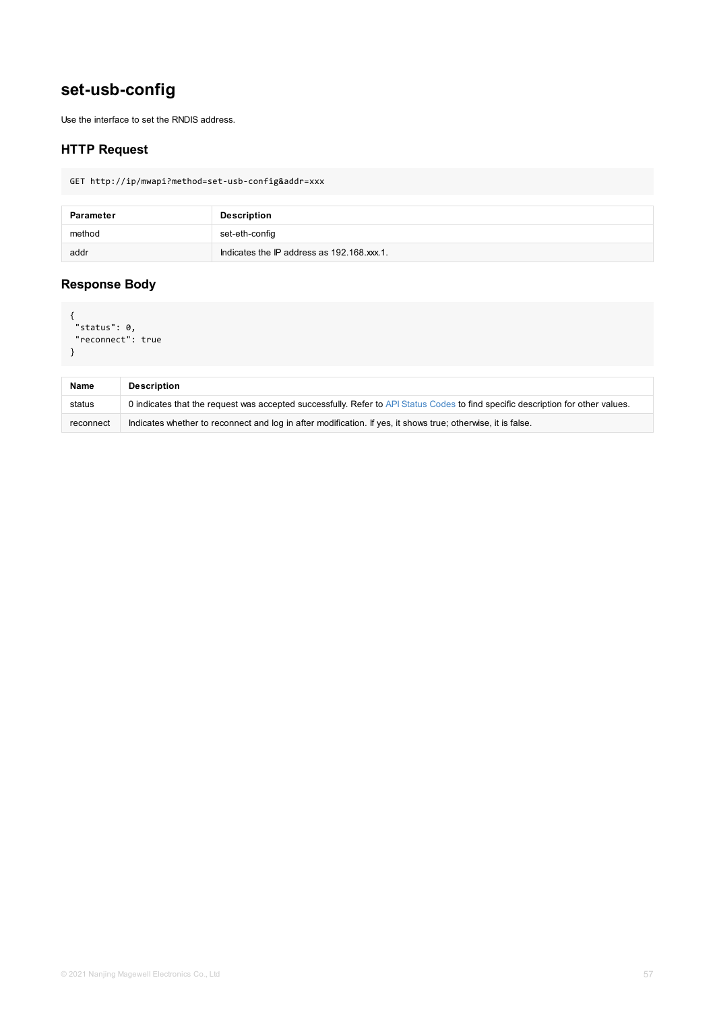```
"reconnect": true
}
```

| <b>Name</b> | <b>Description</b>                                                                                         |
|-------------|------------------------------------------------------------------------------------------------------------|
| status      | 0 indicates that the request was accepted successfully. Refer to API Status Codes to find specific         |
| reconnect   | Indicates whether to reconnect and log in after modification. If yes, it shows true; otherwise, it is fall |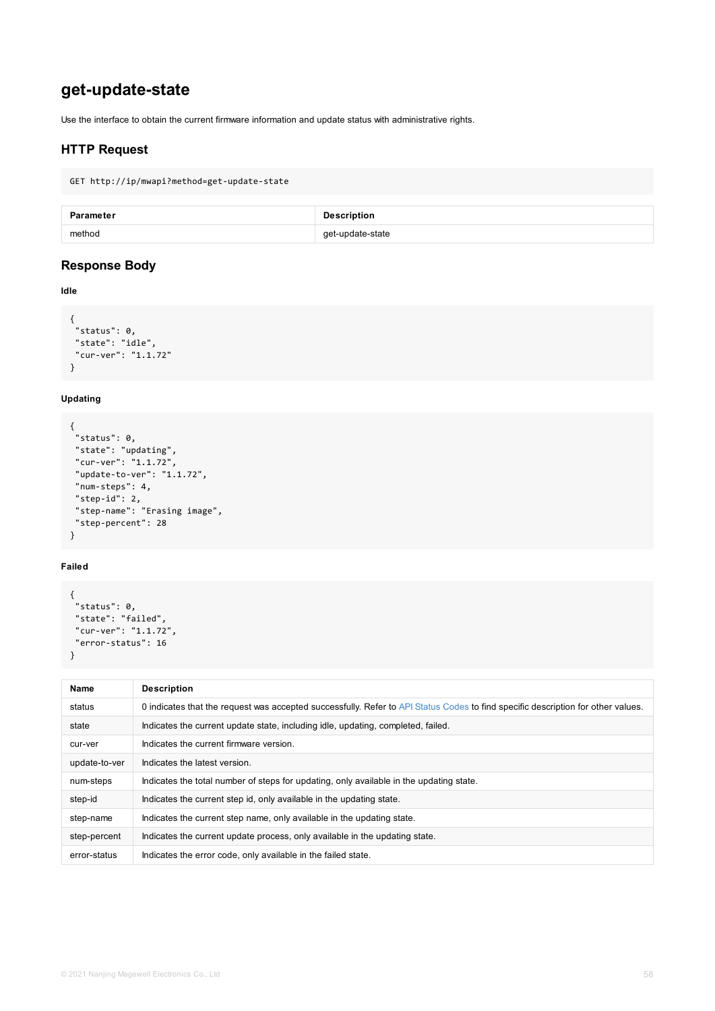```
"state": "idle",
"cur-ver": "1.1.72"
}
```
#### **Updating**

```
{
"status": 0,
"state": "updating",
"cur-ver": "1.1.72",
"update-to-ver": "1.1.72",
 "num-steps": 4,
"step-id": 2,
"step-name": "Erasing image",
"step-percent": 28
}
```
#### **Failed**

```
{
"status": 0,
"state": "failed",
"cur-ver": "1.1.72",
"error-status": 16
}
```

| <b>Name</b>   | <b>Description</b>                                                                              |  |
|---------------|-------------------------------------------------------------------------------------------------|--|
| status        | 0 indicates that the request was accepted successfully. Refer to API Status Codes to find speci |  |
| state         | Indicates the current update state, including idle, updating, completed, failed.                |  |
| cur-ver       | Indicates the current firmware version.                                                         |  |
| update-to-ver | Indicates the latest version.                                                                   |  |
| num-steps     | Indicates the total number of steps for updating, only available in the updating state.         |  |
| step-id       | Indicates the current step id, only available in the updating state.                            |  |
| step-name     | Indicates the current step name, only available in the updating state.                          |  |
| step-percent  | Indicates the current update process, only available in the updating state.                     |  |
| error-status  | Indicates the error code, only available in the failed state.                                   |  |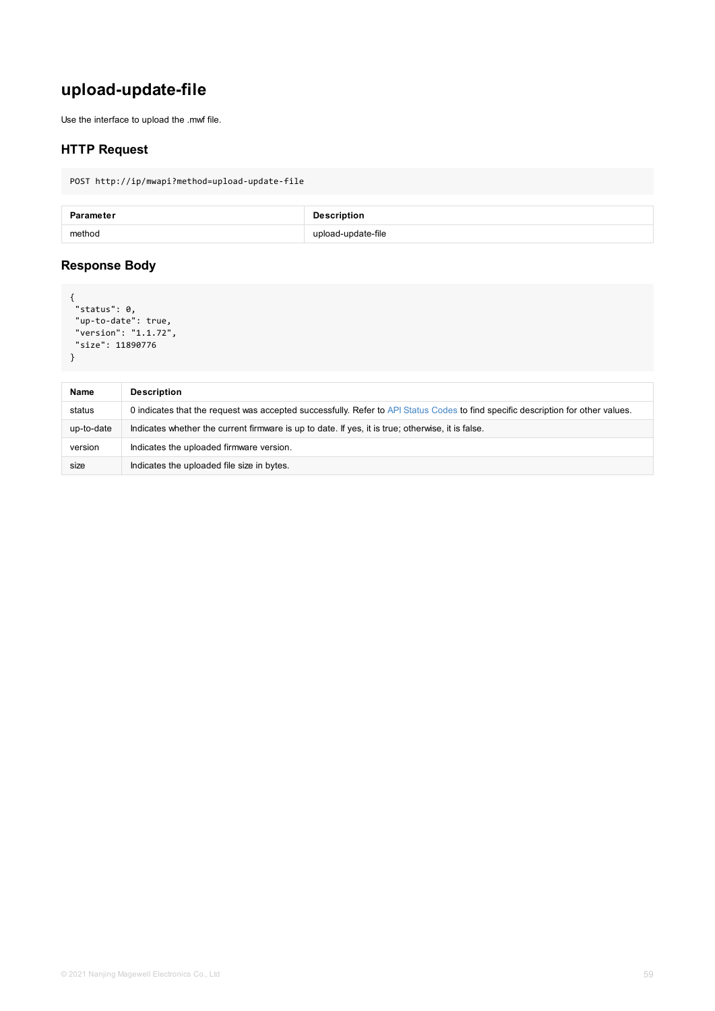```
"size": 11890776
}
```

| <b>Name</b> | <b>Description</b>                                                                                 |
|-------------|----------------------------------------------------------------------------------------------------|
| status      | 0 indicates that the request was accepted successfully. Refer to API Status Codes to find specific |
| up-to-date  | Indicates whether the current firmware is up to date. If yes, it is true; otherwise, it is false.  |
| version     | Indicates the uploaded firmware version.                                                           |
| size        | Indicates the uploaded file size in bytes.                                                         |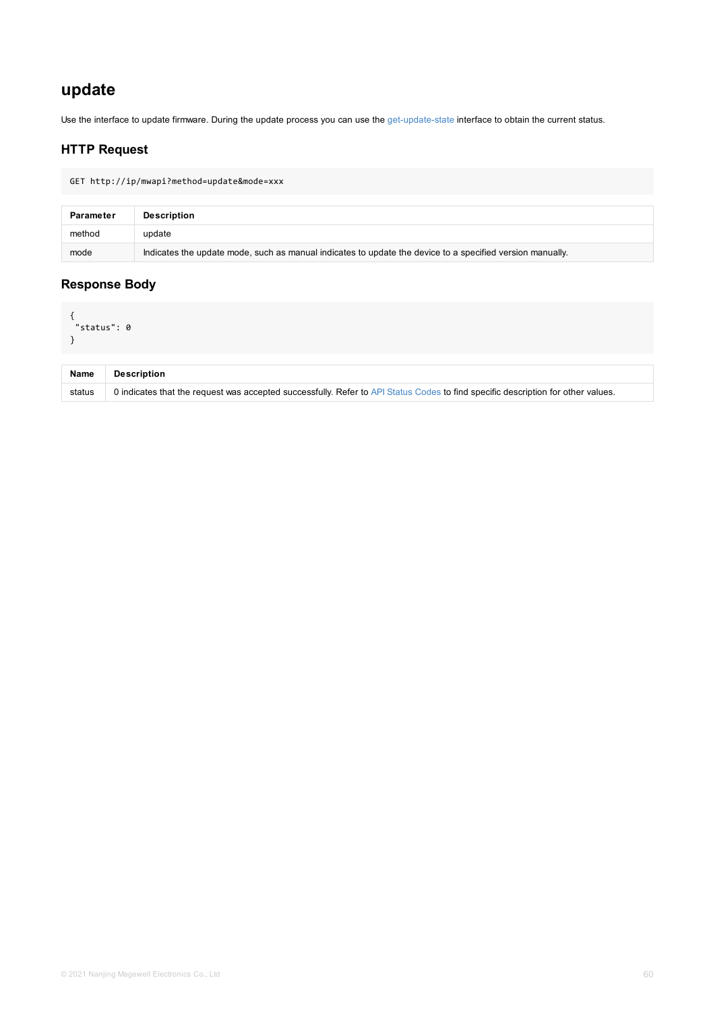| <b>Name</b> | <b>Description</b>                                                                                      |
|-------------|---------------------------------------------------------------------------------------------------------|
| status      | 0 indicates that the request was accepted successfully. Refer to API Status Codes to find specific desc |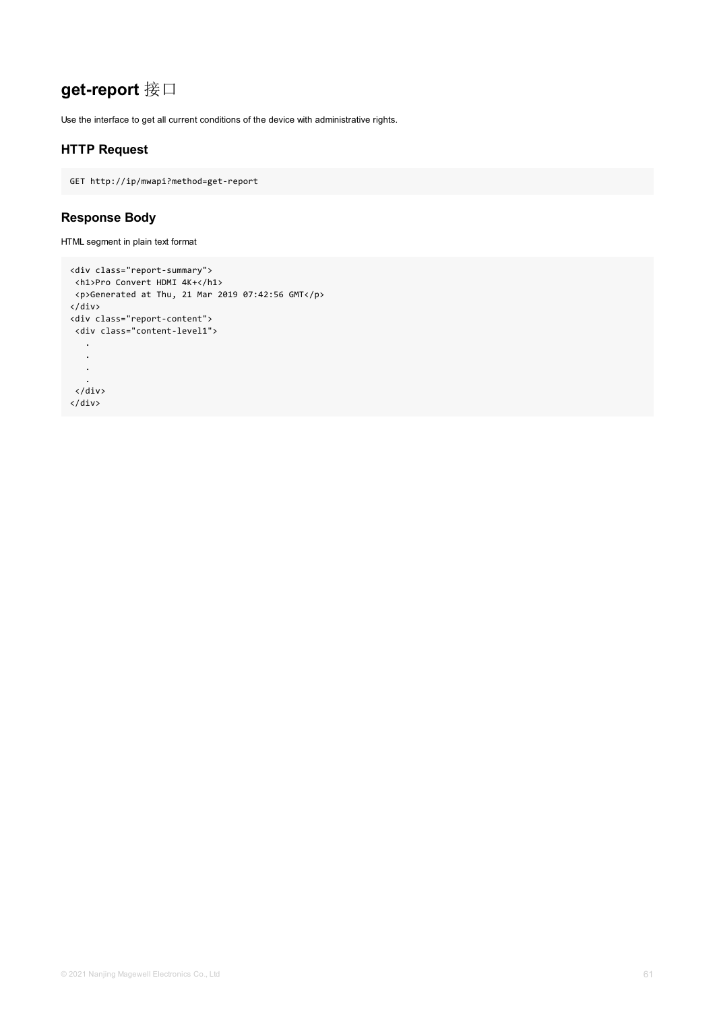# **get-report** 接口

Use the interface to get all current conditions of the device with administrative rights.

## **HTTP Request**

GET http://ip/mwapi?method=get-report

### **Response Body**

HTML segment in plain text format

```
<div class="report-summary">
 <h1>Pro Convert HDMI 4K+</h1>
<p>Generated at Thu, 21 Mar 2019 07:42:56 GMT</p>
</div>
<div class="report-content">
 <div class="content-level1">
   .
   .
   .
   .
 </div>
</div>
```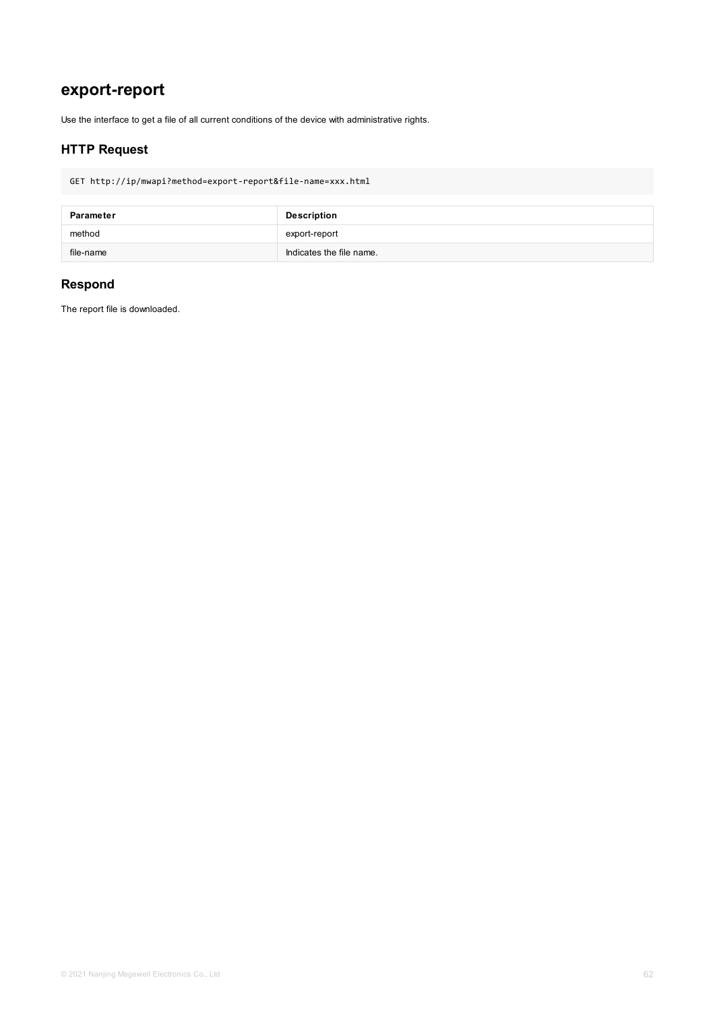## **export-report**

Use the interface to get a file of all current conditions of the device with administrative rights.

### **HTTP Request**

GET http://ip/mwapi?method=export-report&file-name=xxx.html

| Parameter | <b>Description</b>       |
|-----------|--------------------------|
| method    | export-report            |
| file-name | Indicates the file name. |

### **Respond**

The report file is downloaded.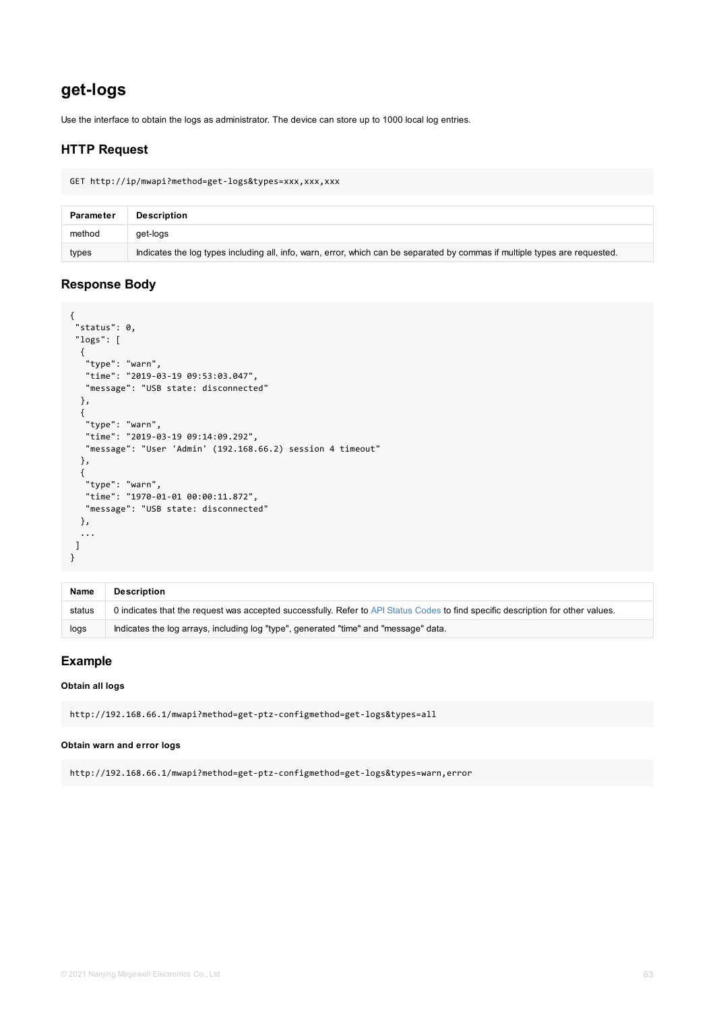```
"logs": [
  {
   "type": "warn",
  "time": "2019-03-19 09:53:03.047",
  "message": "USB state: disconnected"
 },
 {
   "type": "warn",
  "time": "2019-03-19 09:14:09.292",
  "message": "User 'Admin' (192.168.66.2) session 4 timeout"
 },
 {
  "type": "warn",
  "time": "1970-01-01 00:00:11.872",
  "message": "USB state: disconnected"
 },
  ...
]
}
```

| <b>Name</b> | <b>Description</b>                                                                                      |
|-------------|---------------------------------------------------------------------------------------------------------|
| status      | 0 indicates that the request was accepted successfully. Refer to API Status Codes to find specific desc |
| logs        | Indicates the log arrays, including log "type", generated "time" and "message" data.                    |

#### **Obtain all logs**

http://192.168.66.1/mwapi?method=get-ptz-configmethod=get-logs&types=all

#### **Obtain warn and error logs**

http://192.168.66.1/mwapi?method=get-ptz-configmethod=get-logs&types=warn,error